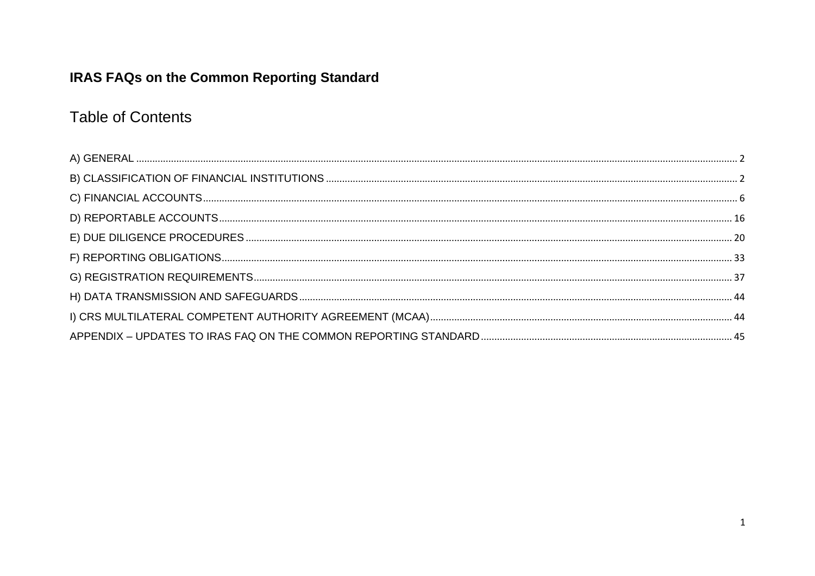## **IRAS FAQs on the Common Reporting Standard**

## **Table of Contents**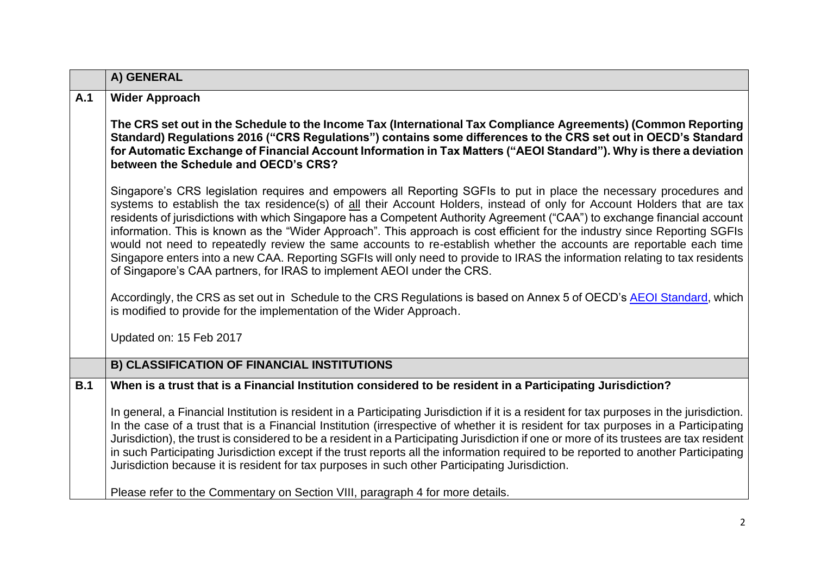<span id="page-1-1"></span><span id="page-1-0"></span>

|     | A) GENERAL                                                                                                                                                                                                                                                                                                                                                                                                                                                                                                                                                                                                                                                                                                                                                                                                                                 |
|-----|--------------------------------------------------------------------------------------------------------------------------------------------------------------------------------------------------------------------------------------------------------------------------------------------------------------------------------------------------------------------------------------------------------------------------------------------------------------------------------------------------------------------------------------------------------------------------------------------------------------------------------------------------------------------------------------------------------------------------------------------------------------------------------------------------------------------------------------------|
| A.1 | <b>Wider Approach</b>                                                                                                                                                                                                                                                                                                                                                                                                                                                                                                                                                                                                                                                                                                                                                                                                                      |
|     | The CRS set out in the Schedule to the Income Tax (International Tax Compliance Agreements) (Common Reporting<br>Standard) Regulations 2016 ("CRS Regulations") contains some differences to the CRS set out in OECD's Standard<br>for Automatic Exchange of Financial Account Information in Tax Matters ("AEOI Standard"). Why is there a deviation<br>between the Schedule and OECD's CRS?                                                                                                                                                                                                                                                                                                                                                                                                                                              |
|     | Singapore's CRS legislation requires and empowers all Reporting SGFIs to put in place the necessary procedures and<br>systems to establish the tax residence(s) of all their Account Holders, instead of only for Account Holders that are tax<br>residents of jurisdictions with which Singapore has a Competent Authority Agreement ("CAA") to exchange financial account<br>information. This is known as the "Wider Approach". This approach is cost efficient for the industry since Reporting SGFIs<br>would not need to repeatedly review the same accounts to re-establish whether the accounts are reportable each time<br>Singapore enters into a new CAA. Reporting SGFIs will only need to provide to IRAS the information relating to tax residents<br>of Singapore's CAA partners, for IRAS to implement AEOI under the CRS. |
|     | Accordingly, the CRS as set out in Schedule to the CRS Regulations is based on Annex 5 of OECD's AEOI Standard, which<br>is modified to provide for the implementation of the Wider Approach.                                                                                                                                                                                                                                                                                                                                                                                                                                                                                                                                                                                                                                              |
|     | Updated on: 15 Feb 2017                                                                                                                                                                                                                                                                                                                                                                                                                                                                                                                                                                                                                                                                                                                                                                                                                    |
|     | <b>B) CLASSIFICATION OF FINANCIAL INSTITUTIONS</b>                                                                                                                                                                                                                                                                                                                                                                                                                                                                                                                                                                                                                                                                                                                                                                                         |
| B.1 | When is a trust that is a Financial Institution considered to be resident in a Participating Jurisdiction?                                                                                                                                                                                                                                                                                                                                                                                                                                                                                                                                                                                                                                                                                                                                 |
|     | In general, a Financial Institution is resident in a Participating Jurisdiction if it is a resident for tax purposes in the jurisdiction.<br>In the case of a trust that is a Financial Institution (irrespective of whether it is resident for tax purposes in a Participating<br>Jurisdiction), the trust is considered to be a resident in a Participating Jurisdiction if one or more of its trustees are tax resident<br>in such Participating Jurisdiction except if the trust reports all the information required to be reported to another Participating<br>Jurisdiction because it is resident for tax purposes in such other Participating Jurisdiction.                                                                                                                                                                        |
|     | Please refer to the Commentary on Section VIII, paragraph 4 for more details.                                                                                                                                                                                                                                                                                                                                                                                                                                                                                                                                                                                                                                                                                                                                                              |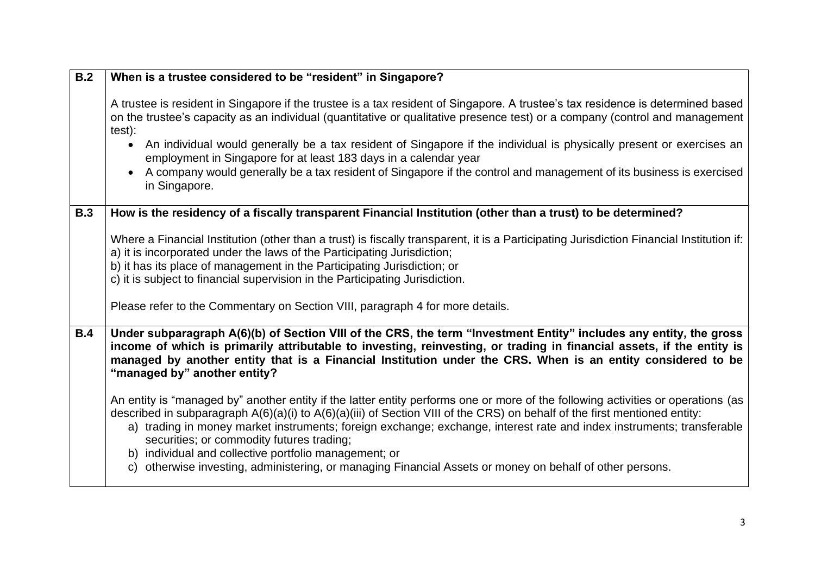| B.2        | When is a trustee considered to be "resident" in Singapore?                                                                                                                                                                                                                                                                                                                                                                                                                                                                                                                                                  |
|------------|--------------------------------------------------------------------------------------------------------------------------------------------------------------------------------------------------------------------------------------------------------------------------------------------------------------------------------------------------------------------------------------------------------------------------------------------------------------------------------------------------------------------------------------------------------------------------------------------------------------|
|            | A trustee is resident in Singapore if the trustee is a tax resident of Singapore. A trustee's tax residence is determined based<br>on the trustee's capacity as an individual (quantitative or qualitative presence test) or a company (control and management<br>test):<br>An individual would generally be a tax resident of Singapore if the individual is physically present or exercises an<br>employment in Singapore for at least 183 days in a calendar year<br>A company would generally be a tax resident of Singapore if the control and management of its business is exercised<br>in Singapore. |
| <b>B.3</b> | How is the residency of a fiscally transparent Financial Institution (other than a trust) to be determined?                                                                                                                                                                                                                                                                                                                                                                                                                                                                                                  |
|            | Where a Financial Institution (other than a trust) is fiscally transparent, it is a Participating Jurisdiction Financial Institution if:<br>a) it is incorporated under the laws of the Participating Jurisdiction;<br>b) it has its place of management in the Participating Jurisdiction; or<br>c) it is subject to financial supervision in the Participating Jurisdiction.                                                                                                                                                                                                                               |
|            | Please refer to the Commentary on Section VIII, paragraph 4 for more details.                                                                                                                                                                                                                                                                                                                                                                                                                                                                                                                                |
| B.4        | Under subparagraph A(6)(b) of Section VIII of the CRS, the term "Investment Entity" includes any entity, the gross<br>income of which is primarily attributable to investing, reinvesting, or trading in financial assets, if the entity is<br>managed by another entity that is a Financial Institution under the CRS. When is an entity considered to be<br>"managed by" another entity?                                                                                                                                                                                                                   |
|            | An entity is "managed by" another entity if the latter entity performs one or more of the following activities or operations (as<br>described in subparagraph A(6)(a)(i) to A(6)(a)(iii) of Section VIII of the CRS) on behalf of the first mentioned entity:<br>a) trading in money market instruments; foreign exchange; exchange, interest rate and index instruments; transferable<br>securities; or commodity futures trading;<br>b) individual and collective portfolio management; or<br>otherwise investing, administering, or managing Financial Assets or money on behalf of other persons.<br>C)  |
|            |                                                                                                                                                                                                                                                                                                                                                                                                                                                                                                                                                                                                              |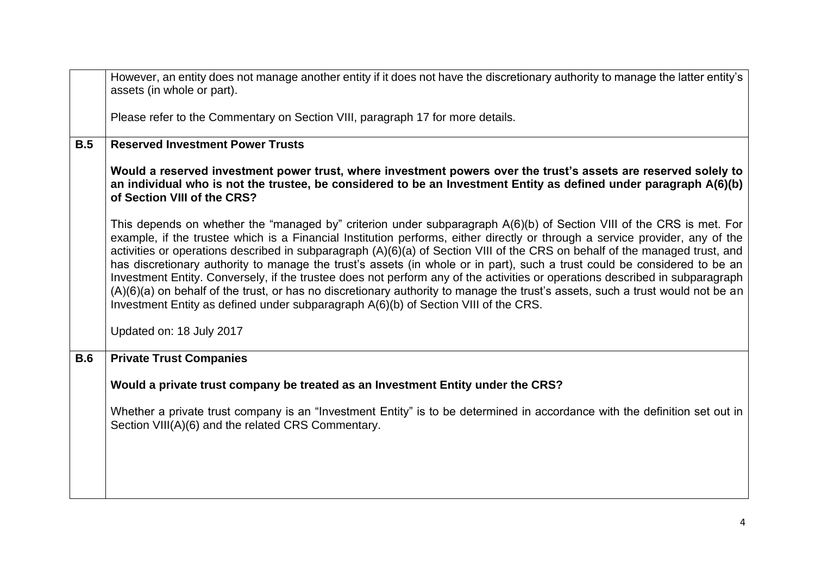|            | However, an entity does not manage another entity if it does not have the discretionary authority to manage the latter entity's<br>assets (in whole or part).                                                                                                                                                                                                                                                                                                                                                                                                                                                                                                                                                                                                                                                                                                             |
|------------|---------------------------------------------------------------------------------------------------------------------------------------------------------------------------------------------------------------------------------------------------------------------------------------------------------------------------------------------------------------------------------------------------------------------------------------------------------------------------------------------------------------------------------------------------------------------------------------------------------------------------------------------------------------------------------------------------------------------------------------------------------------------------------------------------------------------------------------------------------------------------|
|            | Please refer to the Commentary on Section VIII, paragraph 17 for more details.                                                                                                                                                                                                                                                                                                                                                                                                                                                                                                                                                                                                                                                                                                                                                                                            |
| B.5        | <b>Reserved Investment Power Trusts</b>                                                                                                                                                                                                                                                                                                                                                                                                                                                                                                                                                                                                                                                                                                                                                                                                                                   |
|            | Would a reserved investment power trust, where investment powers over the trust's assets are reserved solely to<br>an individual who is not the trustee, be considered to be an Investment Entity as defined under paragraph A(6)(b)<br>of Section VIII of the CRS?                                                                                                                                                                                                                                                                                                                                                                                                                                                                                                                                                                                                       |
|            | This depends on whether the "managed by" criterion under subparagraph A(6)(b) of Section VIII of the CRS is met. For<br>example, if the trustee which is a Financial Institution performs, either directly or through a service provider, any of the<br>activities or operations described in subparagraph (A)(6)(a) of Section VIII of the CRS on behalf of the managed trust, and<br>has discretionary authority to manage the trust's assets (in whole or in part), such a trust could be considered to be an<br>Investment Entity. Conversely, if the trustee does not perform any of the activities or operations described in subparagraph<br>(A)(6)(a) on behalf of the trust, or has no discretionary authority to manage the trust's assets, such a trust would not be an<br>Investment Entity as defined under subparagraph A(6)(b) of Section VIII of the CRS. |
|            | Updated on: 18 July 2017                                                                                                                                                                                                                                                                                                                                                                                                                                                                                                                                                                                                                                                                                                                                                                                                                                                  |
| <b>B.6</b> | <b>Private Trust Companies</b>                                                                                                                                                                                                                                                                                                                                                                                                                                                                                                                                                                                                                                                                                                                                                                                                                                            |
|            | Would a private trust company be treated as an Investment Entity under the CRS?                                                                                                                                                                                                                                                                                                                                                                                                                                                                                                                                                                                                                                                                                                                                                                                           |
|            | Whether a private trust company is an "Investment Entity" is to be determined in accordance with the definition set out in<br>Section VIII(A)(6) and the related CRS Commentary.                                                                                                                                                                                                                                                                                                                                                                                                                                                                                                                                                                                                                                                                                          |
|            |                                                                                                                                                                                                                                                                                                                                                                                                                                                                                                                                                                                                                                                                                                                                                                                                                                                                           |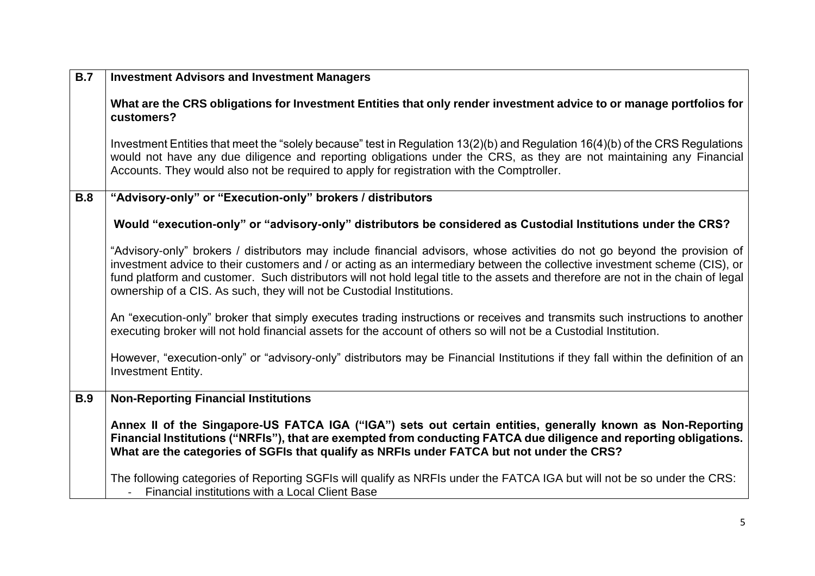| <b>B.7</b> | <b>Investment Advisors and Investment Managers</b>                                                                                                                                                                                                                                                                                                                                                                                                                    |
|------------|-----------------------------------------------------------------------------------------------------------------------------------------------------------------------------------------------------------------------------------------------------------------------------------------------------------------------------------------------------------------------------------------------------------------------------------------------------------------------|
|            | What are the CRS obligations for Investment Entities that only render investment advice to or manage portfolios for<br>customers?                                                                                                                                                                                                                                                                                                                                     |
|            | Investment Entities that meet the "solely because" test in Regulation 13(2)(b) and Regulation 16(4)(b) of the CRS Regulations<br>would not have any due diligence and reporting obligations under the CRS, as they are not maintaining any Financial<br>Accounts. They would also not be required to apply for registration with the Comptroller.                                                                                                                     |
| <b>B.8</b> | "Advisory-only" or "Execution-only" brokers / distributors                                                                                                                                                                                                                                                                                                                                                                                                            |
|            | Would "execution-only" or "advisory-only" distributors be considered as Custodial Institutions under the CRS?                                                                                                                                                                                                                                                                                                                                                         |
|            | "Advisory-only" brokers / distributors may include financial advisors, whose activities do not go beyond the provision of<br>investment advice to their customers and / or acting as an intermediary between the collective investment scheme (CIS), or<br>fund platform and customer. Such distributors will not hold legal title to the assets and therefore are not in the chain of legal<br>ownership of a CIS. As such, they will not be Custodial Institutions. |
|            | An "execution-only" broker that simply executes trading instructions or receives and transmits such instructions to another<br>executing broker will not hold financial assets for the account of others so will not be a Custodial Institution.                                                                                                                                                                                                                      |
|            | However, "execution-only" or "advisory-only" distributors may be Financial Institutions if they fall within the definition of an<br><b>Investment Entity.</b>                                                                                                                                                                                                                                                                                                         |
| <b>B.9</b> | <b>Non-Reporting Financial Institutions</b>                                                                                                                                                                                                                                                                                                                                                                                                                           |
|            | Annex II of the Singapore-US FATCA IGA ("IGA") sets out certain entities, generally known as Non-Reporting<br>Financial Institutions ("NRFIs"), that are exempted from conducting FATCA due diligence and reporting obligations.<br>What are the categories of SGFIs that qualify as NRFIs under FATCA but not under the CRS?                                                                                                                                         |
|            | The following categories of Reporting SGFIs will qualify as NRFIs under the FATCA IGA but will not be so under the CRS:<br>Financial institutions with a Local Client Base                                                                                                                                                                                                                                                                                            |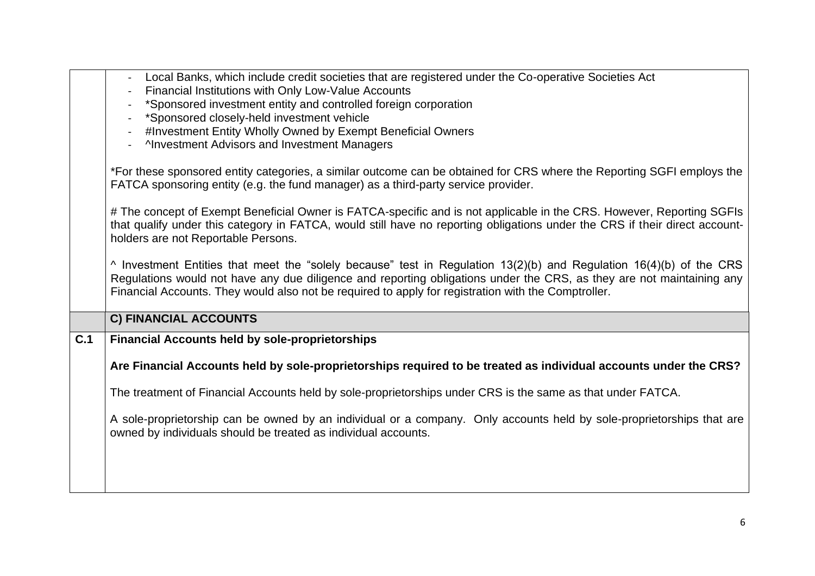<span id="page-5-0"></span>

|     | Local Banks, which include credit societies that are registered under the Co-operative Societies Act<br>Financial Institutions with Only Low-Value Accounts<br>*Sponsored investment entity and controlled foreign corporation<br>*Sponsored closely-held investment vehicle<br>#Investment Entity Wholly Owned by Exempt Beneficial Owners<br><b>Anvestment Advisors and Investment Managers</b><br>*For these sponsored entity categories, a similar outcome can be obtained for CRS where the Reporting SGFI employs the<br>FATCA sponsoring entity (e.g. the fund manager) as a third-party service provider. |
|-----|-------------------------------------------------------------------------------------------------------------------------------------------------------------------------------------------------------------------------------------------------------------------------------------------------------------------------------------------------------------------------------------------------------------------------------------------------------------------------------------------------------------------------------------------------------------------------------------------------------------------|
|     | # The concept of Exempt Beneficial Owner is FATCA-specific and is not applicable in the CRS. However, Reporting SGFIs<br>that qualify under this category in FATCA, would still have no reporting obligations under the CRS if their direct account-<br>holders are not Reportable Persons.                                                                                                                                                                                                                                                                                                                       |
|     | $\land$ Investment Entities that meet the "solely because" test in Regulation 13(2)(b) and Regulation 16(4)(b) of the CRS<br>Regulations would not have any due diligence and reporting obligations under the CRS, as they are not maintaining any<br>Financial Accounts. They would also not be required to apply for registration with the Comptroller.                                                                                                                                                                                                                                                         |
|     | C) FINANCIAL ACCOUNTS                                                                                                                                                                                                                                                                                                                                                                                                                                                                                                                                                                                             |
| C.1 | <b>Financial Accounts held by sole-proprietorships</b>                                                                                                                                                                                                                                                                                                                                                                                                                                                                                                                                                            |
|     | Are Financial Accounts held by sole-proprietorships required to be treated as individual accounts under the CRS?                                                                                                                                                                                                                                                                                                                                                                                                                                                                                                  |
|     | The treatment of Financial Accounts held by sole-proprietorships under CRS is the same as that under FATCA.                                                                                                                                                                                                                                                                                                                                                                                                                                                                                                       |
|     | A sole-proprietorship can be owned by an individual or a company. Only accounts held by sole-proprietorships that are<br>owned by individuals should be treated as individual accounts.                                                                                                                                                                                                                                                                                                                                                                                                                           |
|     |                                                                                                                                                                                                                                                                                                                                                                                                                                                                                                                                                                                                                   |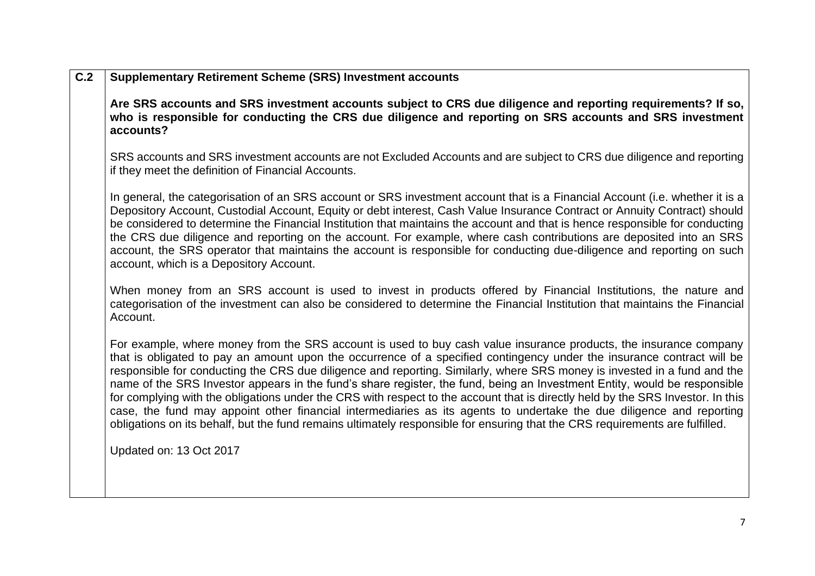| C.2 | <b>Supplementary Retirement Scheme (SRS) Investment accounts</b>                                                                                                                                                                                                                                                                                                                                                                                                                                                                                                                                                                                                                                                                                                                                                                                                                                |
|-----|-------------------------------------------------------------------------------------------------------------------------------------------------------------------------------------------------------------------------------------------------------------------------------------------------------------------------------------------------------------------------------------------------------------------------------------------------------------------------------------------------------------------------------------------------------------------------------------------------------------------------------------------------------------------------------------------------------------------------------------------------------------------------------------------------------------------------------------------------------------------------------------------------|
|     | Are SRS accounts and SRS investment accounts subject to CRS due diligence and reporting requirements? If so,<br>who is responsible for conducting the CRS due diligence and reporting on SRS accounts and SRS investment<br>accounts?                                                                                                                                                                                                                                                                                                                                                                                                                                                                                                                                                                                                                                                           |
|     | SRS accounts and SRS investment accounts are not Excluded Accounts and are subject to CRS due diligence and reporting<br>if they meet the definition of Financial Accounts.                                                                                                                                                                                                                                                                                                                                                                                                                                                                                                                                                                                                                                                                                                                     |
|     | In general, the categorisation of an SRS account or SRS investment account that is a Financial Account (i.e. whether it is a<br>Depository Account, Custodial Account, Equity or debt interest, Cash Value Insurance Contract or Annuity Contract) should<br>be considered to determine the Financial Institution that maintains the account and that is hence responsible for conducting<br>the CRS due diligence and reporting on the account. For example, where cash contributions are deposited into an SRS<br>account, the SRS operator that maintains the account is responsible for conducting due-diligence and reporting on such<br>account, which is a Depository Account.                                                                                                                                                                                                           |
|     | When money from an SRS account is used to invest in products offered by Financial Institutions, the nature and<br>categorisation of the investment can also be considered to determine the Financial Institution that maintains the Financial<br>Account.                                                                                                                                                                                                                                                                                                                                                                                                                                                                                                                                                                                                                                       |
|     | For example, where money from the SRS account is used to buy cash value insurance products, the insurance company<br>that is obligated to pay an amount upon the occurrence of a specified contingency under the insurance contract will be<br>responsible for conducting the CRS due diligence and reporting. Similarly, where SRS money is invested in a fund and the<br>name of the SRS Investor appears in the fund's share register, the fund, being an Investment Entity, would be responsible<br>for complying with the obligations under the CRS with respect to the account that is directly held by the SRS Investor. In this<br>case, the fund may appoint other financial intermediaries as its agents to undertake the due diligence and reporting<br>obligations on its behalf, but the fund remains ultimately responsible for ensuring that the CRS requirements are fulfilled. |
|     | Updated on: 13 Oct 2017                                                                                                                                                                                                                                                                                                                                                                                                                                                                                                                                                                                                                                                                                                                                                                                                                                                                         |
|     |                                                                                                                                                                                                                                                                                                                                                                                                                                                                                                                                                                                                                                                                                                                                                                                                                                                                                                 |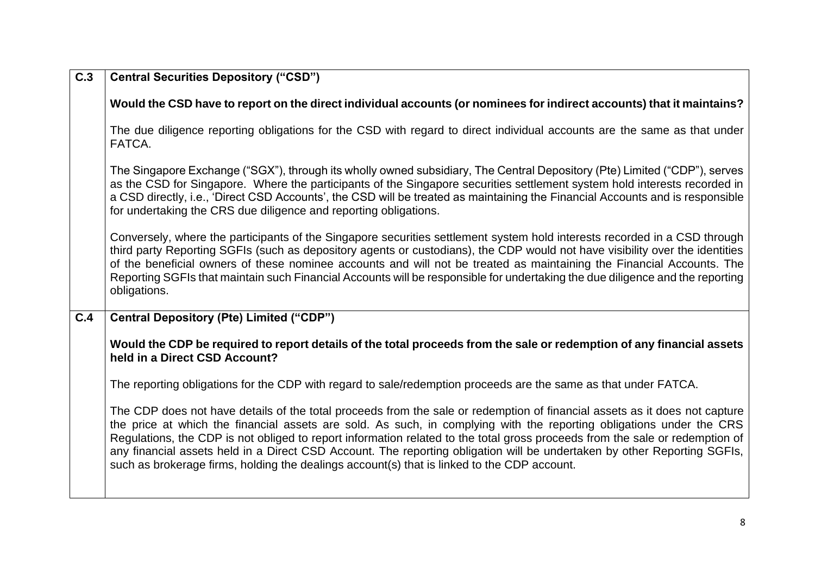| C.3 | <b>Central Securities Depository ("CSD")</b>                                                                                                                                                                                                                                                                                                                                                                                                                                                                                                                                                                  |
|-----|---------------------------------------------------------------------------------------------------------------------------------------------------------------------------------------------------------------------------------------------------------------------------------------------------------------------------------------------------------------------------------------------------------------------------------------------------------------------------------------------------------------------------------------------------------------------------------------------------------------|
|     | Would the CSD have to report on the direct individual accounts (or nominees for indirect accounts) that it maintains?                                                                                                                                                                                                                                                                                                                                                                                                                                                                                         |
|     | The due diligence reporting obligations for the CSD with regard to direct individual accounts are the same as that under<br>FATCA.                                                                                                                                                                                                                                                                                                                                                                                                                                                                            |
|     | The Singapore Exchange ("SGX"), through its wholly owned subsidiary, The Central Depository (Pte) Limited ("CDP"), serves<br>as the CSD for Singapore. Where the participants of the Singapore securities settlement system hold interests recorded in<br>a CSD directly, i.e., 'Direct CSD Accounts', the CSD will be treated as maintaining the Financial Accounts and is responsible<br>for undertaking the CRS due diligence and reporting obligations.                                                                                                                                                   |
|     | Conversely, where the participants of the Singapore securities settlement system hold interests recorded in a CSD through<br>third party Reporting SGFIs (such as depository agents or custodians), the CDP would not have visibility over the identities<br>of the beneficial owners of these nominee accounts and will not be treated as maintaining the Financial Accounts. The<br>Reporting SGFIs that maintain such Financial Accounts will be responsible for undertaking the due diligence and the reporting<br>obligations.                                                                           |
| C.4 | <b>Central Depository (Pte) Limited ("CDP")</b>                                                                                                                                                                                                                                                                                                                                                                                                                                                                                                                                                               |
|     | Would the CDP be required to report details of the total proceeds from the sale or redemption of any financial assets<br>held in a Direct CSD Account?                                                                                                                                                                                                                                                                                                                                                                                                                                                        |
|     | The reporting obligations for the CDP with regard to sale/redemption proceeds are the same as that under FATCA.                                                                                                                                                                                                                                                                                                                                                                                                                                                                                               |
|     | The CDP does not have details of the total proceeds from the sale or redemption of financial assets as it does not capture<br>the price at which the financial assets are sold. As such, in complying with the reporting obligations under the CRS<br>Regulations, the CDP is not obliged to report information related to the total gross proceeds from the sale or redemption of<br>any financial assets held in a Direct CSD Account. The reporting obligation will be undertaken by other Reporting SGFIs,<br>such as brokerage firms, holding the dealings account(s) that is linked to the CDP account. |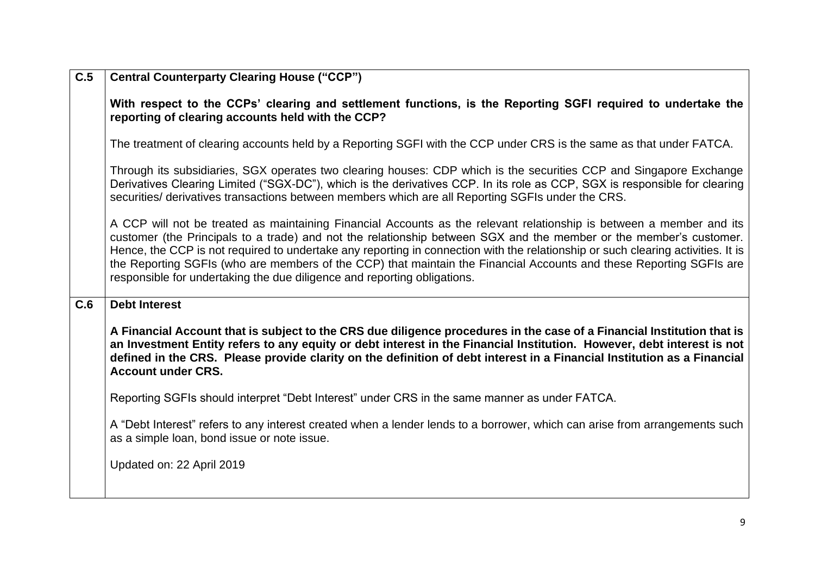| $\overline{C.5}$ | <b>Central Counterparty Clearing House ("CCP")</b>                                                                                                                                                                                                                                                                                                                                                                                                                                                                                                                                |
|------------------|-----------------------------------------------------------------------------------------------------------------------------------------------------------------------------------------------------------------------------------------------------------------------------------------------------------------------------------------------------------------------------------------------------------------------------------------------------------------------------------------------------------------------------------------------------------------------------------|
|                  | With respect to the CCPs' clearing and settlement functions, is the Reporting SGFI required to undertake the<br>reporting of clearing accounts held with the CCP?                                                                                                                                                                                                                                                                                                                                                                                                                 |
|                  | The treatment of clearing accounts held by a Reporting SGFI with the CCP under CRS is the same as that under FATCA.                                                                                                                                                                                                                                                                                                                                                                                                                                                               |
|                  | Through its subsidiaries, SGX operates two clearing houses: CDP which is the securities CCP and Singapore Exchange<br>Derivatives Clearing Limited ("SGX-DC"), which is the derivatives CCP. In its role as CCP, SGX is responsible for clearing<br>securities/ derivatives transactions between members which are all Reporting SGFIs under the CRS.                                                                                                                                                                                                                             |
|                  | A CCP will not be treated as maintaining Financial Accounts as the relevant relationship is between a member and its<br>customer (the Principals to a trade) and not the relationship between SGX and the member or the member's customer.<br>Hence, the CCP is not required to undertake any reporting in connection with the relationship or such clearing activities. It is<br>the Reporting SGFIs (who are members of the CCP) that maintain the Financial Accounts and these Reporting SGFIs are<br>responsible for undertaking the due diligence and reporting obligations. |
| C.6              | <b>Debt Interest</b>                                                                                                                                                                                                                                                                                                                                                                                                                                                                                                                                                              |
|                  | A Financial Account that is subject to the CRS due diligence procedures in the case of a Financial Institution that is<br>an Investment Entity refers to any equity or debt interest in the Financial Institution. However, debt interest is not<br>defined in the CRS. Please provide clarity on the definition of debt interest in a Financial Institution as a Financial<br><b>Account under CRS.</b>                                                                                                                                                                          |
|                  | Reporting SGFIs should interpret "Debt Interest" under CRS in the same manner as under FATCA.                                                                                                                                                                                                                                                                                                                                                                                                                                                                                     |
|                  | A "Debt Interest" refers to any interest created when a lender lends to a borrower, which can arise from arrangements such<br>as a simple loan, bond issue or note issue.                                                                                                                                                                                                                                                                                                                                                                                                         |
|                  | Updated on: 22 April 2019                                                                                                                                                                                                                                                                                                                                                                                                                                                                                                                                                         |
|                  |                                                                                                                                                                                                                                                                                                                                                                                                                                                                                                                                                                                   |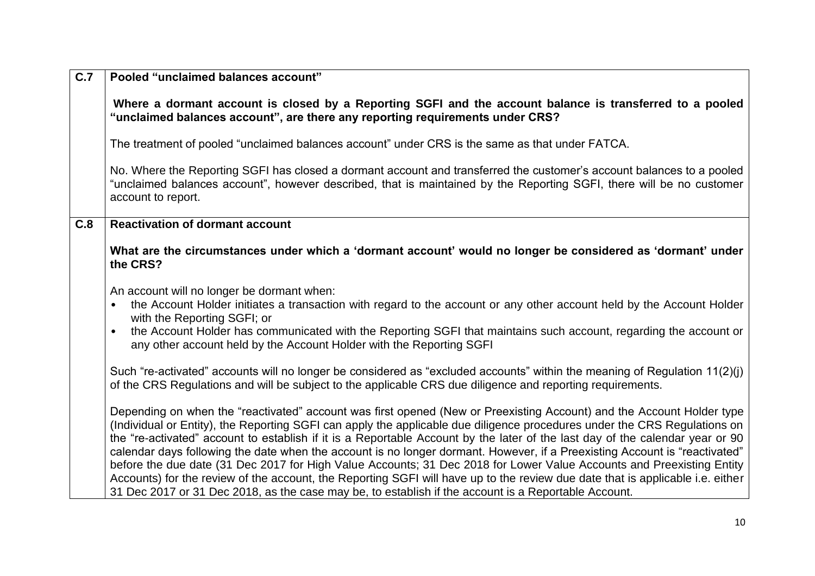| $\overline{C.7}$ | Pooled "unclaimed balances account"                                                                                                                                                                                                                                                                                                                                                                                                                                                                                                                                                                                                                                                                                                                                                                                                                                                  |
|------------------|--------------------------------------------------------------------------------------------------------------------------------------------------------------------------------------------------------------------------------------------------------------------------------------------------------------------------------------------------------------------------------------------------------------------------------------------------------------------------------------------------------------------------------------------------------------------------------------------------------------------------------------------------------------------------------------------------------------------------------------------------------------------------------------------------------------------------------------------------------------------------------------|
|                  | Where a dormant account is closed by a Reporting SGFI and the account balance is transferred to a pooled<br>"unclaimed balances account", are there any reporting requirements under CRS?                                                                                                                                                                                                                                                                                                                                                                                                                                                                                                                                                                                                                                                                                            |
|                  | The treatment of pooled "unclaimed balances account" under CRS is the same as that under FATCA.                                                                                                                                                                                                                                                                                                                                                                                                                                                                                                                                                                                                                                                                                                                                                                                      |
|                  | No. Where the Reporting SGFI has closed a dormant account and transferred the customer's account balances to a pooled<br>"unclaimed balances account", however described, that is maintained by the Reporting SGFI, there will be no customer<br>account to report.                                                                                                                                                                                                                                                                                                                                                                                                                                                                                                                                                                                                                  |
| C.8              | <b>Reactivation of dormant account</b>                                                                                                                                                                                                                                                                                                                                                                                                                                                                                                                                                                                                                                                                                                                                                                                                                                               |
|                  | What are the circumstances under which a 'dormant account' would no longer be considered as 'dormant' under<br>the CRS?                                                                                                                                                                                                                                                                                                                                                                                                                                                                                                                                                                                                                                                                                                                                                              |
|                  | An account will no longer be dormant when:<br>the Account Holder initiates a transaction with regard to the account or any other account held by the Account Holder<br>with the Reporting SGFI; or<br>the Account Holder has communicated with the Reporting SGFI that maintains such account, regarding the account or<br>$\bullet$<br>any other account held by the Account Holder with the Reporting SGFI                                                                                                                                                                                                                                                                                                                                                                                                                                                                         |
|                  | Such "re-activated" accounts will no longer be considered as "excluded accounts" within the meaning of Regulation 11(2)(i)<br>of the CRS Regulations and will be subject to the applicable CRS due diligence and reporting requirements.                                                                                                                                                                                                                                                                                                                                                                                                                                                                                                                                                                                                                                             |
|                  | Depending on when the "reactivated" account was first opened (New or Preexisting Account) and the Account Holder type<br>(Individual or Entity), the Reporting SGFI can apply the applicable due diligence procedures under the CRS Regulations on<br>the "re-activated" account to establish if it is a Reportable Account by the later of the last day of the calendar year or 90<br>calendar days following the date when the account is no longer dormant. However, if a Preexisting Account is "reactivated"<br>before the due date (31 Dec 2017 for High Value Accounts; 31 Dec 2018 for Lower Value Accounts and Preexisting Entity<br>Accounts) for the review of the account, the Reporting SGFI will have up to the review due date that is applicable i.e. either<br>31 Dec 2017 or 31 Dec 2018, as the case may be, to establish if the account is a Reportable Account. |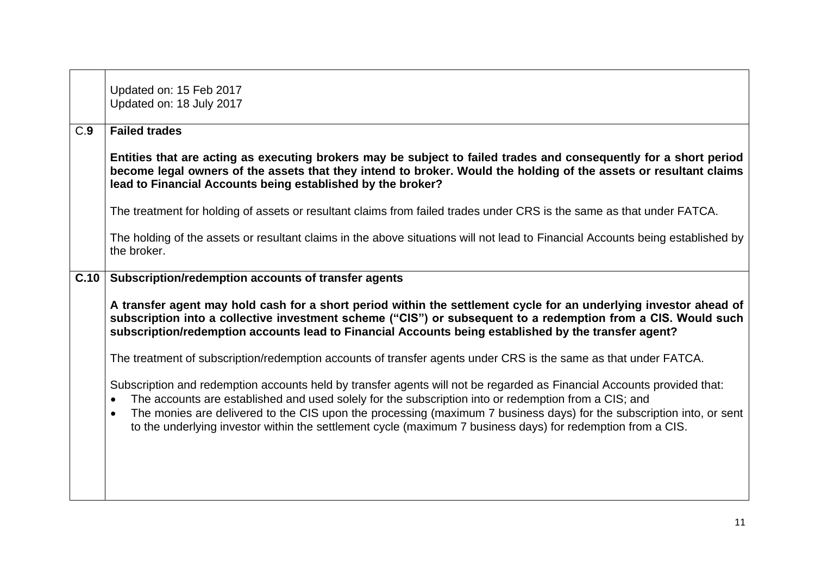|      | Updated on: 15 Feb 2017<br>Updated on: 18 July 2017                                                                                                                                                                                                                                                                                                                                                                                                                                             |
|------|-------------------------------------------------------------------------------------------------------------------------------------------------------------------------------------------------------------------------------------------------------------------------------------------------------------------------------------------------------------------------------------------------------------------------------------------------------------------------------------------------|
| C.9  | <b>Failed trades</b>                                                                                                                                                                                                                                                                                                                                                                                                                                                                            |
|      | Entities that are acting as executing brokers may be subject to failed trades and consequently for a short period<br>become legal owners of the assets that they intend to broker. Would the holding of the assets or resultant claims<br>lead to Financial Accounts being established by the broker?                                                                                                                                                                                           |
|      | The treatment for holding of assets or resultant claims from failed trades under CRS is the same as that under FATCA.                                                                                                                                                                                                                                                                                                                                                                           |
|      | The holding of the assets or resultant claims in the above situations will not lead to Financial Accounts being established by<br>the broker.                                                                                                                                                                                                                                                                                                                                                   |
| C.10 | Subscription/redemption accounts of transfer agents                                                                                                                                                                                                                                                                                                                                                                                                                                             |
|      | A transfer agent may hold cash for a short period within the settlement cycle for an underlying investor ahead of<br>subscription into a collective investment scheme ("CIS") or subsequent to a redemption from a CIS. Would such<br>subscription/redemption accounts lead to Financial Accounts being established by the transfer agent?                                                                                                                                                      |
|      | The treatment of subscription/redemption accounts of transfer agents under CRS is the same as that under FATCA.                                                                                                                                                                                                                                                                                                                                                                                 |
|      | Subscription and redemption accounts held by transfer agents will not be regarded as Financial Accounts provided that:<br>The accounts are established and used solely for the subscription into or redemption from a CIS; and<br>$\bullet$<br>The monies are delivered to the CIS upon the processing (maximum 7 business days) for the subscription into, or sent<br>$\bullet$<br>to the underlying investor within the settlement cycle (maximum 7 business days) for redemption from a CIS. |
|      |                                                                                                                                                                                                                                                                                                                                                                                                                                                                                                 |

 $\mathbf{r}$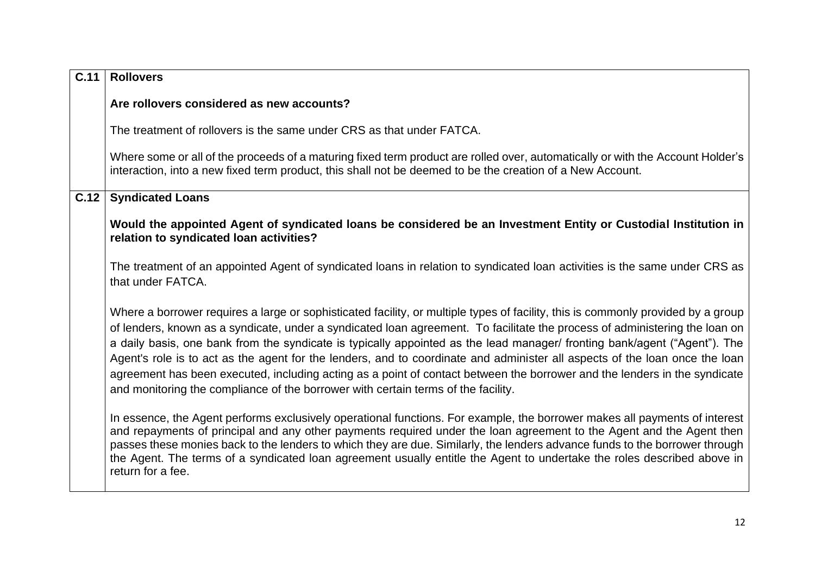| C.11 | <b>Rollovers</b>                                                                                                                                                                                                                                                                                                                                                                                                                                                                                                                                                                                                                                                                                                                              |
|------|-----------------------------------------------------------------------------------------------------------------------------------------------------------------------------------------------------------------------------------------------------------------------------------------------------------------------------------------------------------------------------------------------------------------------------------------------------------------------------------------------------------------------------------------------------------------------------------------------------------------------------------------------------------------------------------------------------------------------------------------------|
|      | Are rollovers considered as new accounts?                                                                                                                                                                                                                                                                                                                                                                                                                                                                                                                                                                                                                                                                                                     |
|      | The treatment of rollovers is the same under CRS as that under FATCA.                                                                                                                                                                                                                                                                                                                                                                                                                                                                                                                                                                                                                                                                         |
|      | Where some or all of the proceeds of a maturing fixed term product are rolled over, automatically or with the Account Holder's<br>interaction, into a new fixed term product, this shall not be deemed to be the creation of a New Account.                                                                                                                                                                                                                                                                                                                                                                                                                                                                                                   |
| C.12 | <b>Syndicated Loans</b>                                                                                                                                                                                                                                                                                                                                                                                                                                                                                                                                                                                                                                                                                                                       |
|      | Would the appointed Agent of syndicated loans be considered be an Investment Entity or Custodial Institution in<br>relation to syndicated loan activities?                                                                                                                                                                                                                                                                                                                                                                                                                                                                                                                                                                                    |
|      | The treatment of an appointed Agent of syndicated loans in relation to syndicated loan activities is the same under CRS as<br>that under FATCA.                                                                                                                                                                                                                                                                                                                                                                                                                                                                                                                                                                                               |
|      | Where a borrower requires a large or sophisticated facility, or multiple types of facility, this is commonly provided by a group<br>of lenders, known as a syndicate, under a syndicated loan agreement. To facilitate the process of administering the loan on<br>a daily basis, one bank from the syndicate is typically appointed as the lead manager/ fronting bank/agent ("Agent"). The<br>Agent's role is to act as the agent for the lenders, and to coordinate and administer all aspects of the loan once the loan<br>agreement has been executed, including acting as a point of contact between the borrower and the lenders in the syndicate<br>and monitoring the compliance of the borrower with certain terms of the facility. |
|      | In essence, the Agent performs exclusively operational functions. For example, the borrower makes all payments of interest<br>and repayments of principal and any other payments required under the loan agreement to the Agent and the Agent then<br>passes these monies back to the lenders to which they are due. Similarly, the lenders advance funds to the borrower through<br>the Agent. The terms of a syndicated loan agreement usually entitle the Agent to undertake the roles described above in<br>return for a fee.                                                                                                                                                                                                             |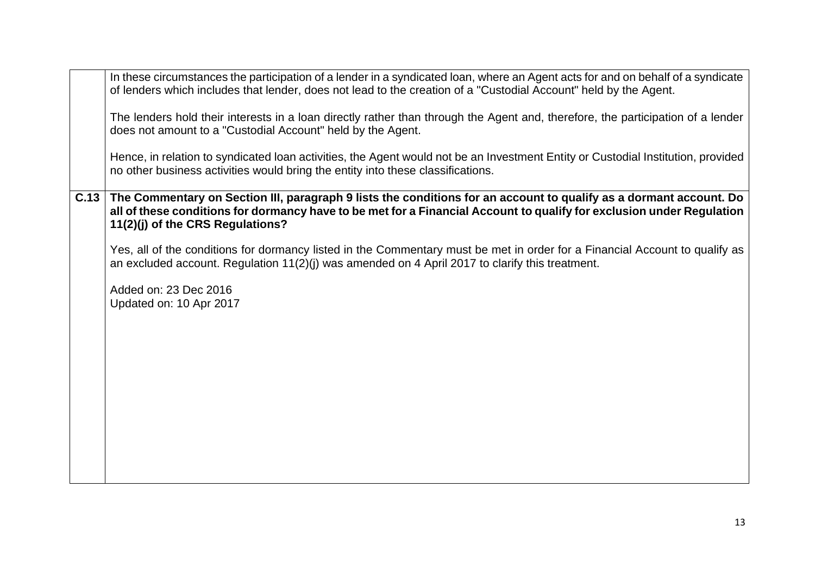|      | In these circumstances the participation of a lender in a syndicated loan, where an Agent acts for and on behalf of a syndicate<br>of lenders which includes that lender, does not lead to the creation of a "Custodial Account" held by the Agent.                             |
|------|---------------------------------------------------------------------------------------------------------------------------------------------------------------------------------------------------------------------------------------------------------------------------------|
|      | The lenders hold their interests in a loan directly rather than through the Agent and, therefore, the participation of a lender<br>does not amount to a "Custodial Account" held by the Agent.                                                                                  |
|      | Hence, in relation to syndicated loan activities, the Agent would not be an Investment Entity or Custodial Institution, provided<br>no other business activities would bring the entity into these classifications.                                                             |
| C.13 | The Commentary on Section III, paragraph 9 lists the conditions for an account to qualify as a dormant account. Do<br>all of these conditions for dormancy have to be met for a Financial Account to qualify for exclusion under Regulation<br>11(2)(j) of the CRS Regulations? |
|      | Yes, all of the conditions for dormancy listed in the Commentary must be met in order for a Financial Account to qualify as<br>an excluded account. Regulation 11(2)(j) was amended on 4 April 2017 to clarify this treatment.                                                  |
|      | Added on: 23 Dec 2016<br>Updated on: 10 Apr 2017                                                                                                                                                                                                                                |
|      |                                                                                                                                                                                                                                                                                 |
|      |                                                                                                                                                                                                                                                                                 |
|      |                                                                                                                                                                                                                                                                                 |
|      |                                                                                                                                                                                                                                                                                 |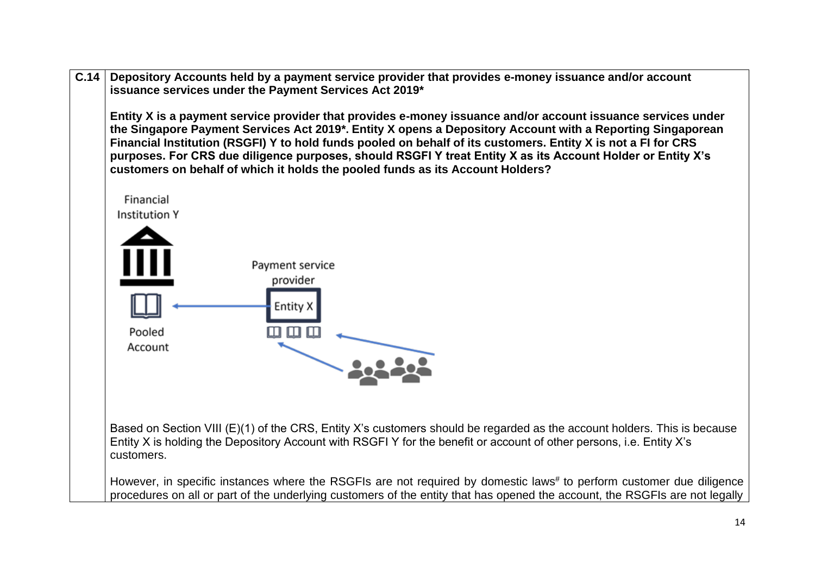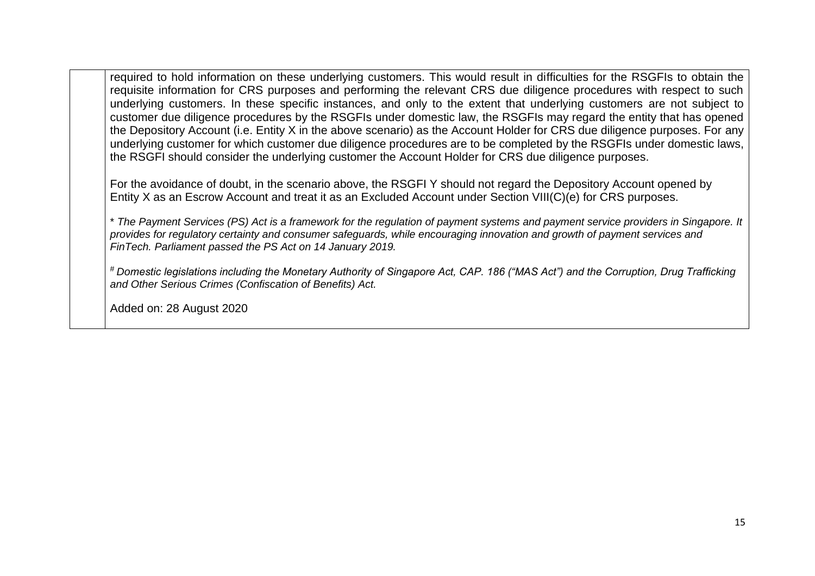required to hold information on these underlying customers. This would result in difficulties for the RSGFIs to obtain the requisite information for CRS purposes and performing the relevant CRS due diligence procedures with respect to such underlying customers. In these specific instances, and only to the extent that underlying customers are not subject to customer due diligence procedures by the RSGFIs under domestic law, the RSGFIs may regard the entity that has opened the Depository Account (i.e. Entity X in the above scenario) as the Account Holder for CRS due diligence purposes. For any underlying customer for which customer due diligence procedures are to be completed by the RSGFIs under domestic laws, the RSGFI should consider the underlying customer the Account Holder for CRS due diligence purposes.

For the avoidance of doubt, in the scenario above, the RSGFI Y should not regard the Depository Account opened by Entity X as an Escrow Account and treat it as an Excluded Account under Section VIII(C)(e) for CRS purposes.

\* *The Payment Services (PS) Act is a framework for the regulation of payment systems and payment service providers in Singapore. It provides for regulatory certainty and consumer safeguards, while encouraging innovation and growth of payment services and FinTech. Parliament passed the PS Act on 14 January 2019.*

# *Domestic legislations including the Monetary Authority of Singapore Act, CAP. 186 ("MAS Act") and the Corruption, Drug Trafficking and Other Serious Crimes (Confiscation of Benefits) Act.*

Added on: 28 August 2020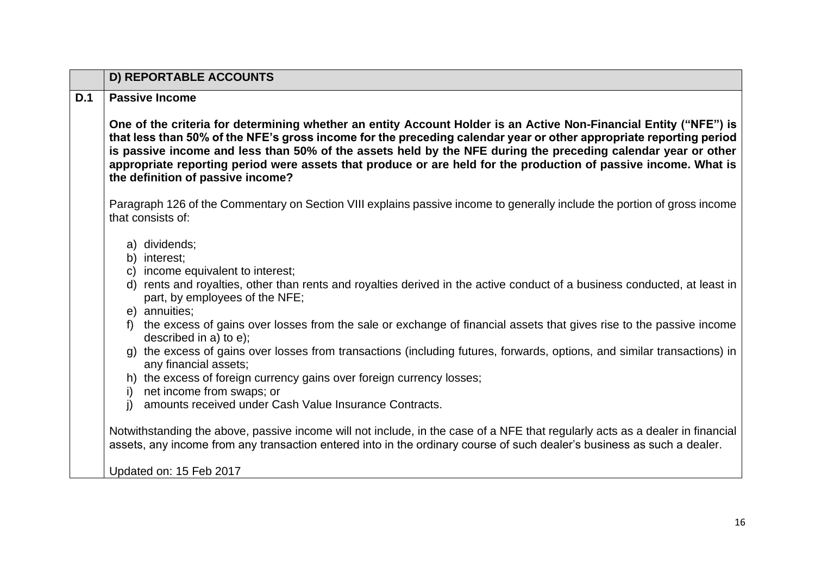<span id="page-15-0"></span>

|     | <b>D) REPORTABLE ACCOUNTS</b>                                                                                                                                                                                                                                                                                                                                                                                                                                                                                    |
|-----|------------------------------------------------------------------------------------------------------------------------------------------------------------------------------------------------------------------------------------------------------------------------------------------------------------------------------------------------------------------------------------------------------------------------------------------------------------------------------------------------------------------|
| D.1 | <b>Passive Income</b>                                                                                                                                                                                                                                                                                                                                                                                                                                                                                            |
|     | One of the criteria for determining whether an entity Account Holder is an Active Non-Financial Entity ("NFE") is<br>that less than 50% of the NFE's gross income for the preceding calendar year or other appropriate reporting period<br>is passive income and less than 50% of the assets held by the NFE during the preceding calendar year or other<br>appropriate reporting period were assets that produce or are held for the production of passive income. What is<br>the definition of passive income? |
|     | Paragraph 126 of the Commentary on Section VIII explains passive income to generally include the portion of gross income<br>that consists of:                                                                                                                                                                                                                                                                                                                                                                    |
|     | a) dividends;<br>b) interest;<br>c) income equivalent to interest;                                                                                                                                                                                                                                                                                                                                                                                                                                               |
|     | d) rents and royalties, other than rents and royalties derived in the active conduct of a business conducted, at least in<br>part, by employees of the NFE;<br>e) annuities;                                                                                                                                                                                                                                                                                                                                     |
|     | the excess of gains over losses from the sale or exchange of financial assets that gives rise to the passive income<br>described in a) to e);                                                                                                                                                                                                                                                                                                                                                                    |
|     | g) the excess of gains over losses from transactions (including futures, forwards, options, and similar transactions) in<br>any financial assets;                                                                                                                                                                                                                                                                                                                                                                |
|     | h) the excess of foreign currency gains over foreign currency losses;<br>net income from swaps; or<br>i)                                                                                                                                                                                                                                                                                                                                                                                                         |
|     | amounts received under Cash Value Insurance Contracts.<br>i)                                                                                                                                                                                                                                                                                                                                                                                                                                                     |
|     | Notwithstanding the above, passive income will not include, in the case of a NFE that regularly acts as a dealer in financial<br>assets, any income from any transaction entered into in the ordinary course of such dealer's business as such a dealer.                                                                                                                                                                                                                                                         |
|     | Updated on: 15 Feb 2017                                                                                                                                                                                                                                                                                                                                                                                                                                                                                          |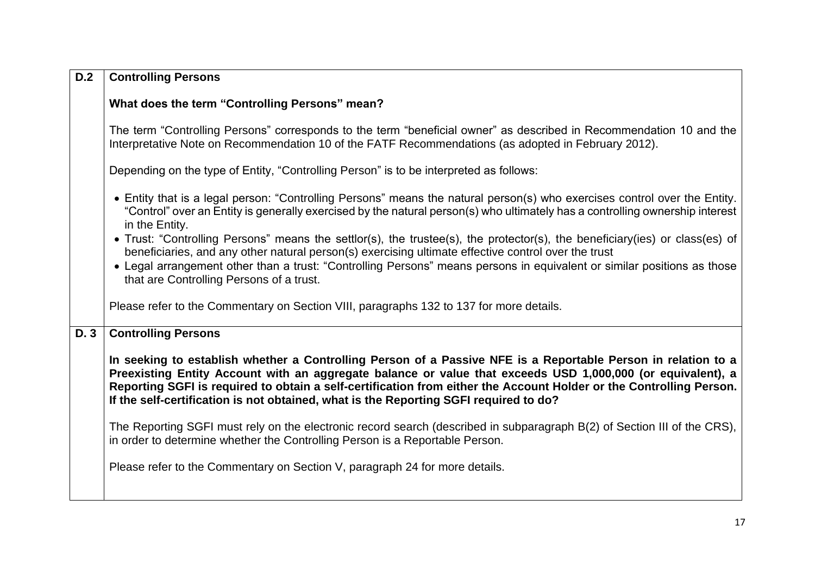| D.2  | <b>Controlling Persons</b>                                                                                                                                                                                                                                                                                                                                                                                                                   |
|------|----------------------------------------------------------------------------------------------------------------------------------------------------------------------------------------------------------------------------------------------------------------------------------------------------------------------------------------------------------------------------------------------------------------------------------------------|
|      | What does the term "Controlling Persons" mean?                                                                                                                                                                                                                                                                                                                                                                                               |
|      | The term "Controlling Persons" corresponds to the term "beneficial owner" as described in Recommendation 10 and the<br>Interpretative Note on Recommendation 10 of the FATF Recommendations (as adopted in February 2012).                                                                                                                                                                                                                   |
|      | Depending on the type of Entity, "Controlling Person" is to be interpreted as follows:                                                                                                                                                                                                                                                                                                                                                       |
|      | • Entity that is a legal person: "Controlling Persons" means the natural person(s) who exercises control over the Entity.<br>"Control" over an Entity is generally exercised by the natural person(s) who ultimately has a controlling ownership interest<br>in the Entity.                                                                                                                                                                  |
|      | • Trust: "Controlling Persons" means the settlor(s), the trustee(s), the protector(s), the beneficiary(ies) or class(es) of<br>beneficiaries, and any other natural person(s) exercising ultimate effective control over the trust<br>• Legal arrangement other than a trust: "Controlling Persons" means persons in equivalent or similar positions as those                                                                                |
|      | that are Controlling Persons of a trust.                                                                                                                                                                                                                                                                                                                                                                                                     |
|      | Please refer to the Commentary on Section VIII, paragraphs 132 to 137 for more details.                                                                                                                                                                                                                                                                                                                                                      |
| D. 3 | <b>Controlling Persons</b>                                                                                                                                                                                                                                                                                                                                                                                                                   |
|      | In seeking to establish whether a Controlling Person of a Passive NFE is a Reportable Person in relation to a<br>Preexisting Entity Account with an aggregate balance or value that exceeds USD 1,000,000 (or equivalent), a<br>Reporting SGFI is required to obtain a self-certification from either the Account Holder or the Controlling Person.<br>If the self-certification is not obtained, what is the Reporting SGFI required to do? |
|      | The Reporting SGFI must rely on the electronic record search (described in subparagraph B(2) of Section III of the CRS),<br>in order to determine whether the Controlling Person is a Reportable Person.                                                                                                                                                                                                                                     |
|      | Please refer to the Commentary on Section V, paragraph 24 for more details.                                                                                                                                                                                                                                                                                                                                                                  |
|      |                                                                                                                                                                                                                                                                                                                                                                                                                                              |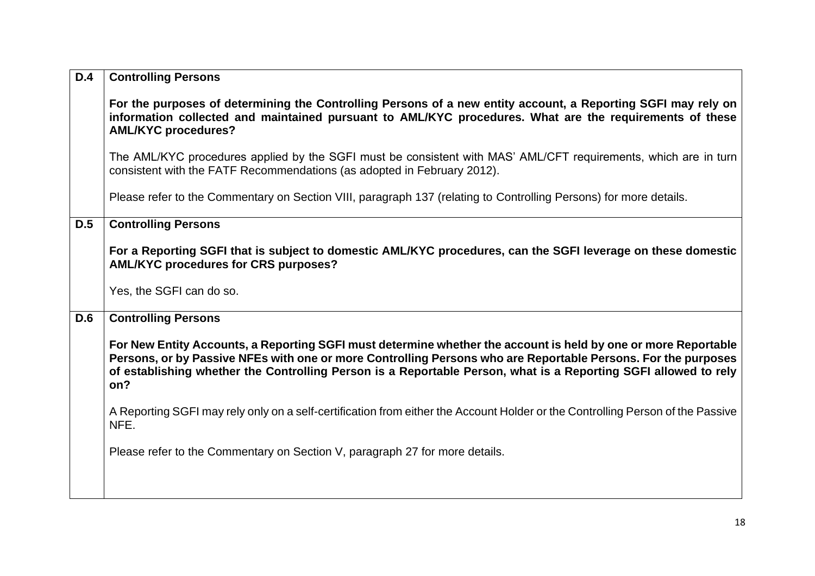| D.4 | <b>Controlling Persons</b>                                                                                                                                                                                                                                                                                                                                |
|-----|-----------------------------------------------------------------------------------------------------------------------------------------------------------------------------------------------------------------------------------------------------------------------------------------------------------------------------------------------------------|
|     | For the purposes of determining the Controlling Persons of a new entity account, a Reporting SGFI may rely on<br>information collected and maintained pursuant to AML/KYC procedures. What are the requirements of these<br><b>AML/KYC procedures?</b>                                                                                                    |
|     | The AML/KYC procedures applied by the SGFI must be consistent with MAS' AML/CFT requirements, which are in turn<br>consistent with the FATF Recommendations (as adopted in February 2012).                                                                                                                                                                |
|     | Please refer to the Commentary on Section VIII, paragraph 137 (relating to Controlling Persons) for more details.                                                                                                                                                                                                                                         |
| D.5 | <b>Controlling Persons</b>                                                                                                                                                                                                                                                                                                                                |
|     | For a Reporting SGFI that is subject to domestic AML/KYC procedures, can the SGFI leverage on these domestic<br><b>AML/KYC procedures for CRS purposes?</b>                                                                                                                                                                                               |
|     | Yes, the SGFI can do so.                                                                                                                                                                                                                                                                                                                                  |
| D.6 | <b>Controlling Persons</b>                                                                                                                                                                                                                                                                                                                                |
|     | For New Entity Accounts, a Reporting SGFI must determine whether the account is held by one or more Reportable<br>Persons, or by Passive NFEs with one or more Controlling Persons who are Reportable Persons. For the purposes<br>of establishing whether the Controlling Person is a Reportable Person, what is a Reporting SGFI allowed to rely<br>on? |
|     | A Reporting SGFI may rely only on a self-certification from either the Account Holder or the Controlling Person of the Passive<br>NFE.                                                                                                                                                                                                                    |
|     | Please refer to the Commentary on Section V, paragraph 27 for more details.                                                                                                                                                                                                                                                                               |
|     |                                                                                                                                                                                                                                                                                                                                                           |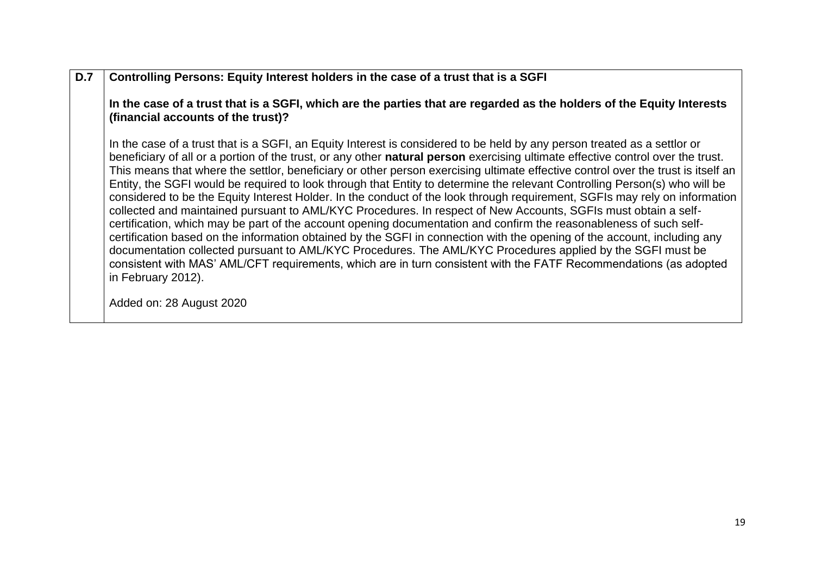## **D.7 Controlling Persons: Equity Interest holders in the case of a trust that is a SGFI**

**In the case of a trust that is a SGFI, which are the parties that are regarded as the holders of the Equity Interests (financial accounts of the trust)?**

In the case of a trust that is a SGFI, an Equity Interest is considered to be held by any person treated as a settlor or beneficiary of all or a portion of the trust, or any other **natural person** exercising ultimate effective control over the trust. This means that where the settlor, beneficiary or other person exercising ultimate effective control over the trust is itself an Entity, the SGFI would be required to look through that Entity to determine the relevant Controlling Person(s) who will be considered to be the Equity Interest Holder. In the conduct of the look through requirement, SGFIs may rely on information collected and maintained pursuant to AML/KYC Procedures. In respect of New Accounts, SGFIs must obtain a selfcertification, which may be part of the account opening documentation and confirm the reasonableness of such selfcertification based on the information obtained by the SGFI in connection with the opening of the account, including any documentation collected pursuant to AML/KYC Procedures. The AML/KYC Procedures applied by the SGFI must be consistent with MAS' AML/CFT requirements, which are in turn consistent with the FATF Recommendations (as adopted in February 2012).

Added on: 28 August 2020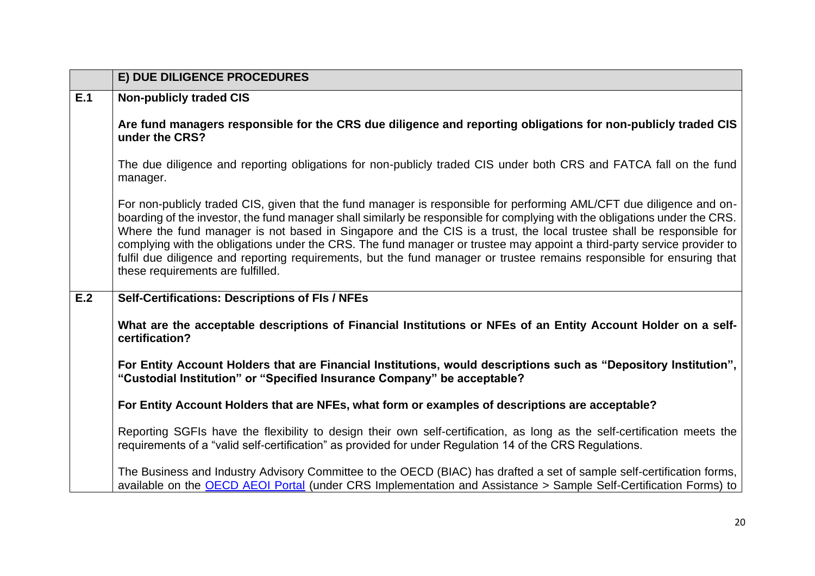<span id="page-19-0"></span>

|     | E) DUE DILIGENCE PROCEDURES                                                                                                                                                                                                                                                                                                                                                                                                                                                                                                                                                                                                                                          |
|-----|----------------------------------------------------------------------------------------------------------------------------------------------------------------------------------------------------------------------------------------------------------------------------------------------------------------------------------------------------------------------------------------------------------------------------------------------------------------------------------------------------------------------------------------------------------------------------------------------------------------------------------------------------------------------|
| E.1 | <b>Non-publicly traded CIS</b>                                                                                                                                                                                                                                                                                                                                                                                                                                                                                                                                                                                                                                       |
|     | Are fund managers responsible for the CRS due diligence and reporting obligations for non-publicly traded CIS<br>under the CRS?                                                                                                                                                                                                                                                                                                                                                                                                                                                                                                                                      |
|     | The due diligence and reporting obligations for non-publicly traded CIS under both CRS and FATCA fall on the fund<br>manager.                                                                                                                                                                                                                                                                                                                                                                                                                                                                                                                                        |
|     | For non-publicly traded CIS, given that the fund manager is responsible for performing AML/CFT due diligence and on-<br>boarding of the investor, the fund manager shall similarly be responsible for complying with the obligations under the CRS.<br>Where the fund manager is not based in Singapore and the CIS is a trust, the local trustee shall be responsible for<br>complying with the obligations under the CRS. The fund manager or trustee may appoint a third-party service provider to<br>fulfil due diligence and reporting requirements, but the fund manager or trustee remains responsible for ensuring that<br>these requirements are fulfilled. |
| E.2 | <b>Self-Certifications: Descriptions of FIs / NFEs</b>                                                                                                                                                                                                                                                                                                                                                                                                                                                                                                                                                                                                               |
|     | What are the acceptable descriptions of Financial Institutions or NFEs of an Entity Account Holder on a self-<br>certification?                                                                                                                                                                                                                                                                                                                                                                                                                                                                                                                                      |
|     | For Entity Account Holders that are Financial Institutions, would descriptions such as "Depository Institution",<br>"Custodial Institution" or "Specified Insurance Company" be acceptable?                                                                                                                                                                                                                                                                                                                                                                                                                                                                          |
|     | For Entity Account Holders that are NFEs, what form or examples of descriptions are acceptable?                                                                                                                                                                                                                                                                                                                                                                                                                                                                                                                                                                      |
|     | Reporting SGFIs have the flexibility to design their own self-certification, as long as the self-certification meets the<br>requirements of a "valid self-certification" as provided for under Regulation 14 of the CRS Regulations.                                                                                                                                                                                                                                                                                                                                                                                                                                 |
|     | The Business and Industry Advisory Committee to the OECD (BIAC) has drafted a set of sample self-certification forms,<br>available on the <b>OECD AEOI Portal</b> (under CRS Implementation and Assistance > Sample Self-Certification Forms) to                                                                                                                                                                                                                                                                                                                                                                                                                     |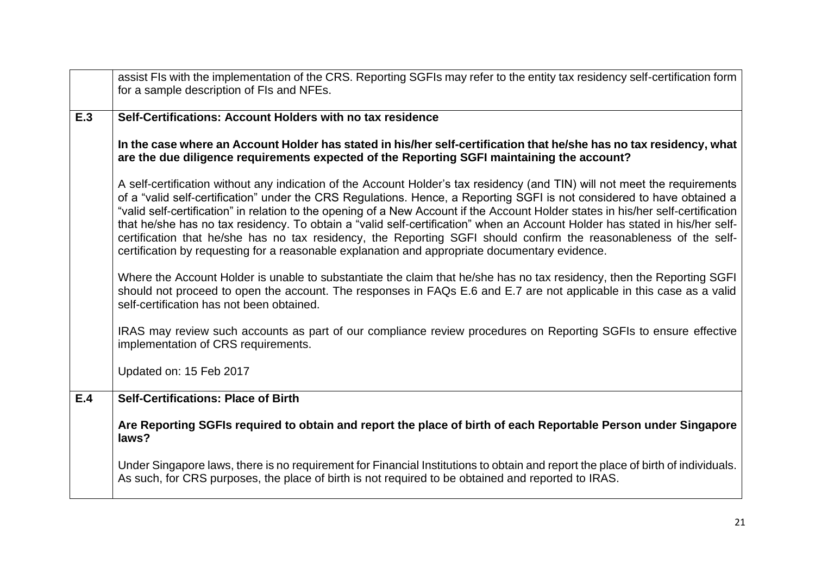|     | assist FIs with the implementation of the CRS. Reporting SGFIs may refer to the entity tax residency self-certification form                                                                                                                                                                                                                                                                                                                                                                                                                                                                                                                                                                                                                     |
|-----|--------------------------------------------------------------------------------------------------------------------------------------------------------------------------------------------------------------------------------------------------------------------------------------------------------------------------------------------------------------------------------------------------------------------------------------------------------------------------------------------------------------------------------------------------------------------------------------------------------------------------------------------------------------------------------------------------------------------------------------------------|
|     | for a sample description of FIs and NFEs.                                                                                                                                                                                                                                                                                                                                                                                                                                                                                                                                                                                                                                                                                                        |
| E.3 | Self-Certifications: Account Holders with no tax residence                                                                                                                                                                                                                                                                                                                                                                                                                                                                                                                                                                                                                                                                                       |
|     | In the case where an Account Holder has stated in his/her self-certification that he/she has no tax residency, what<br>are the due diligence requirements expected of the Reporting SGFI maintaining the account?                                                                                                                                                                                                                                                                                                                                                                                                                                                                                                                                |
|     | A self-certification without any indication of the Account Holder's tax residency (and TIN) will not meet the requirements<br>of a "valid self-certification" under the CRS Regulations. Hence, a Reporting SGFI is not considered to have obtained a<br>"valid self-certification" in relation to the opening of a New Account if the Account Holder states in his/her self-certification<br>that he/she has no tax residency. To obtain a "valid self-certification" when an Account Holder has stated in his/her self-<br>certification that he/she has no tax residency, the Reporting SGFI should confirm the reasonableness of the self-<br>certification by requesting for a reasonable explanation and appropriate documentary evidence. |
|     | Where the Account Holder is unable to substantiate the claim that he/she has no tax residency, then the Reporting SGFI<br>should not proceed to open the account. The responses in FAQs E.6 and E.7 are not applicable in this case as a valid<br>self-certification has not been obtained.                                                                                                                                                                                                                                                                                                                                                                                                                                                      |
|     | IRAS may review such accounts as part of our compliance review procedures on Reporting SGFIs to ensure effective<br>implementation of CRS requirements.                                                                                                                                                                                                                                                                                                                                                                                                                                                                                                                                                                                          |
|     | Updated on: 15 Feb 2017                                                                                                                                                                                                                                                                                                                                                                                                                                                                                                                                                                                                                                                                                                                          |
| E.4 | <b>Self-Certifications: Place of Birth</b>                                                                                                                                                                                                                                                                                                                                                                                                                                                                                                                                                                                                                                                                                                       |
|     | Are Reporting SGFIs required to obtain and report the place of birth of each Reportable Person under Singapore<br>laws?                                                                                                                                                                                                                                                                                                                                                                                                                                                                                                                                                                                                                          |
|     | Under Singapore laws, there is no requirement for Financial Institutions to obtain and report the place of birth of individuals.<br>As such, for CRS purposes, the place of birth is not required to be obtained and reported to IRAS.                                                                                                                                                                                                                                                                                                                                                                                                                                                                                                           |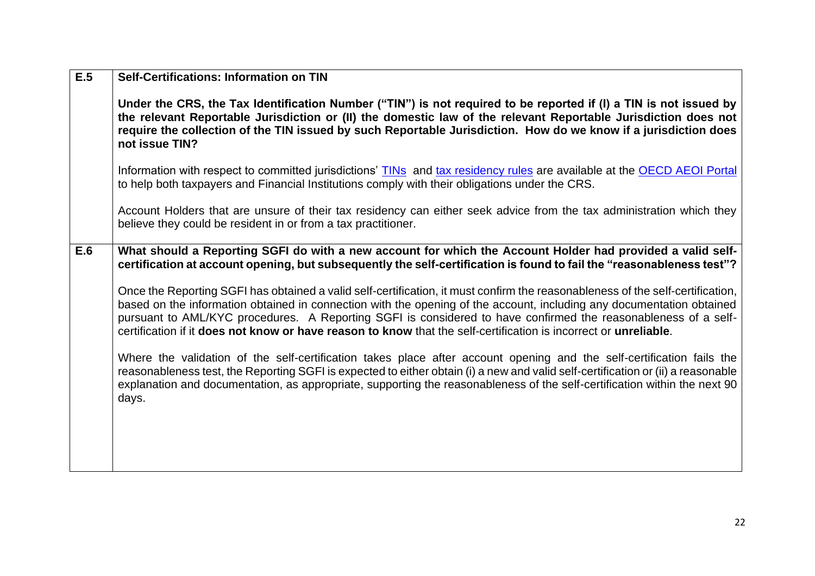| E.5 | <b>Self-Certifications: Information on TIN</b>                                                                                                                                                                                                                                                                                                                                                                                                                                                |
|-----|-----------------------------------------------------------------------------------------------------------------------------------------------------------------------------------------------------------------------------------------------------------------------------------------------------------------------------------------------------------------------------------------------------------------------------------------------------------------------------------------------|
|     | Under the CRS, the Tax Identification Number ("TIN") is not required to be reported if (I) a TIN is not issued by<br>the relevant Reportable Jurisdiction or (II) the domestic law of the relevant Reportable Jurisdiction does not<br>require the collection of the TIN issued by such Reportable Jurisdiction. How do we know if a jurisdiction does<br>not issue TIN?                                                                                                                      |
|     | Information with respect to committed jurisdictions' TINs and tax residency rules are available at the OECD AEOI Portal<br>to help both taxpayers and Financial Institutions comply with their obligations under the CRS.                                                                                                                                                                                                                                                                     |
|     | Account Holders that are unsure of their tax residency can either seek advice from the tax administration which they<br>believe they could be resident in or from a tax practitioner.                                                                                                                                                                                                                                                                                                         |
| E.6 | What should a Reporting SGFI do with a new account for which the Account Holder had provided a valid self-<br>certification at account opening, but subsequently the self-certification is found to fail the "reasonableness test"?                                                                                                                                                                                                                                                           |
|     | Once the Reporting SGFI has obtained a valid self-certification, it must confirm the reasonableness of the self-certification,<br>based on the information obtained in connection with the opening of the account, including any documentation obtained<br>pursuant to AML/KYC procedures. A Reporting SGFI is considered to have confirmed the reasonableness of a self-<br>certification if it does not know or have reason to know that the self-certification is incorrect or unreliable. |
|     | Where the validation of the self-certification takes place after account opening and the self-certification fails the<br>reasonableness test, the Reporting SGFI is expected to either obtain (i) a new and valid self-certification or (ii) a reasonable<br>explanation and documentation, as appropriate, supporting the reasonableness of the self-certification within the next 90<br>days.                                                                                               |
|     |                                                                                                                                                                                                                                                                                                                                                                                                                                                                                               |
|     |                                                                                                                                                                                                                                                                                                                                                                                                                                                                                               |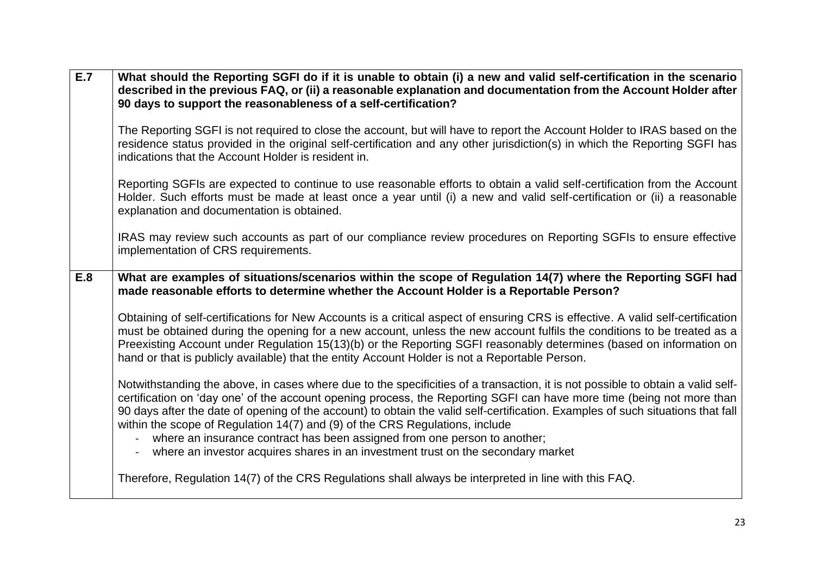| E.7 | What should the Reporting SGFI do if it is unable to obtain (i) a new and valid self-certification in the scenario<br>described in the previous FAQ, or (ii) a reasonable explanation and documentation from the Account Holder after<br>90 days to support the reasonableness of a self-certification?                                                                                                                                                                                                                                                                                                                                      |
|-----|----------------------------------------------------------------------------------------------------------------------------------------------------------------------------------------------------------------------------------------------------------------------------------------------------------------------------------------------------------------------------------------------------------------------------------------------------------------------------------------------------------------------------------------------------------------------------------------------------------------------------------------------|
|     | The Reporting SGFI is not required to close the account, but will have to report the Account Holder to IRAS based on the<br>residence status provided in the original self-certification and any other jurisdiction(s) in which the Reporting SGFI has<br>indications that the Account Holder is resident in.                                                                                                                                                                                                                                                                                                                                |
|     | Reporting SGFIs are expected to continue to use reasonable efforts to obtain a valid self-certification from the Account<br>Holder. Such efforts must be made at least once a year until (i) a new and valid self-certification or (ii) a reasonable<br>explanation and documentation is obtained.                                                                                                                                                                                                                                                                                                                                           |
|     | IRAS may review such accounts as part of our compliance review procedures on Reporting SGFIs to ensure effective<br>implementation of CRS requirements.                                                                                                                                                                                                                                                                                                                                                                                                                                                                                      |
| E.8 | What are examples of situations/scenarios within the scope of Regulation 14(7) where the Reporting SGFI had<br>made reasonable efforts to determine whether the Account Holder is a Reportable Person?                                                                                                                                                                                                                                                                                                                                                                                                                                       |
|     | Obtaining of self-certifications for New Accounts is a critical aspect of ensuring CRS is effective. A valid self-certification<br>must be obtained during the opening for a new account, unless the new account fulfils the conditions to be treated as a<br>Preexisting Account under Regulation 15(13)(b) or the Reporting SGFI reasonably determines (based on information on<br>hand or that is publicly available) that the entity Account Holder is not a Reportable Person.                                                                                                                                                          |
|     | Notwithstanding the above, in cases where due to the specificities of a transaction, it is not possible to obtain a valid self-<br>certification on 'day one' of the account opening process, the Reporting SGFI can have more time (being not more than<br>90 days after the date of opening of the account) to obtain the valid self-certification. Examples of such situations that fall<br>within the scope of Regulation 14(7) and (9) of the CRS Regulations, include<br>where an insurance contract has been assigned from one person to another;<br>where an investor acquires shares in an investment trust on the secondary market |
|     | Therefore, Regulation 14(7) of the CRS Regulations shall always be interpreted in line with this FAQ.                                                                                                                                                                                                                                                                                                                                                                                                                                                                                                                                        |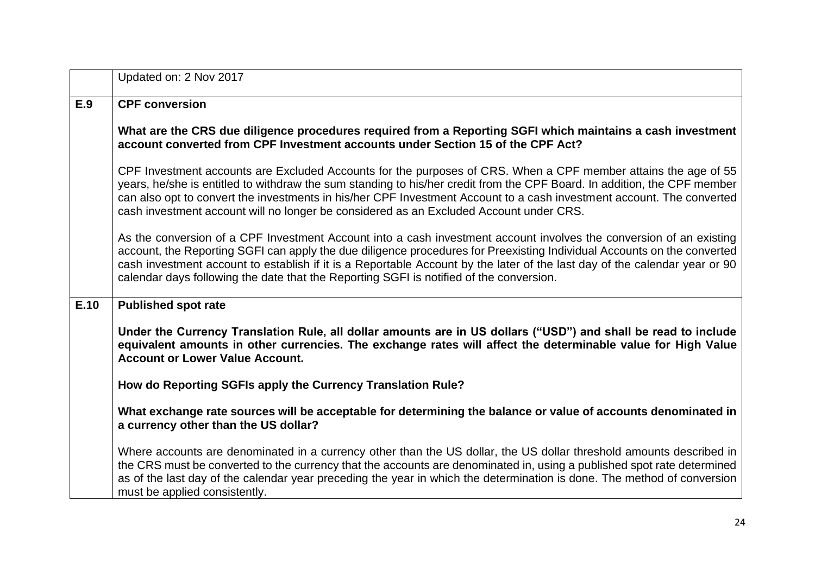|      | Updated on: 2 Nov 2017                                                                                                                                                                                                                                                                                                                                                                                                                                                  |
|------|-------------------------------------------------------------------------------------------------------------------------------------------------------------------------------------------------------------------------------------------------------------------------------------------------------------------------------------------------------------------------------------------------------------------------------------------------------------------------|
| E.9  | <b>CPF conversion</b>                                                                                                                                                                                                                                                                                                                                                                                                                                                   |
|      | What are the CRS due diligence procedures required from a Reporting SGFI which maintains a cash investment<br>account converted from CPF Investment accounts under Section 15 of the CPF Act?                                                                                                                                                                                                                                                                           |
|      | CPF Investment accounts are Excluded Accounts for the purposes of CRS. When a CPF member attains the age of 55<br>years, he/she is entitled to withdraw the sum standing to his/her credit from the CPF Board. In addition, the CPF member<br>can also opt to convert the investments in his/her CPF Investment Account to a cash investment account. The converted<br>cash investment account will no longer be considered as an Excluded Account under CRS.           |
|      | As the conversion of a CPF Investment Account into a cash investment account involves the conversion of an existing<br>account, the Reporting SGFI can apply the due diligence procedures for Preexisting Individual Accounts on the converted<br>cash investment account to establish if it is a Reportable Account by the later of the last day of the calendar year or 90<br>calendar days following the date that the Reporting SGFI is notified of the conversion. |
| E.10 | <b>Published spot rate</b>                                                                                                                                                                                                                                                                                                                                                                                                                                              |
|      | Under the Currency Translation Rule, all dollar amounts are in US dollars ("USD") and shall be read to include<br>equivalent amounts in other currencies. The exchange rates will affect the determinable value for High Value<br><b>Account or Lower Value Account.</b>                                                                                                                                                                                                |
|      | How do Reporting SGFIs apply the Currency Translation Rule?                                                                                                                                                                                                                                                                                                                                                                                                             |
|      | What exchange rate sources will be acceptable for determining the balance or value of accounts denominated in<br>a currency other than the US dollar?                                                                                                                                                                                                                                                                                                                   |
|      | Where accounts are denominated in a currency other than the US dollar, the US dollar threshold amounts described in<br>the CRS must be converted to the currency that the accounts are denominated in, using a published spot rate determined<br>as of the last day of the calendar year preceding the year in which the determination is done. The method of conversion<br>must be applied consistently.                                                               |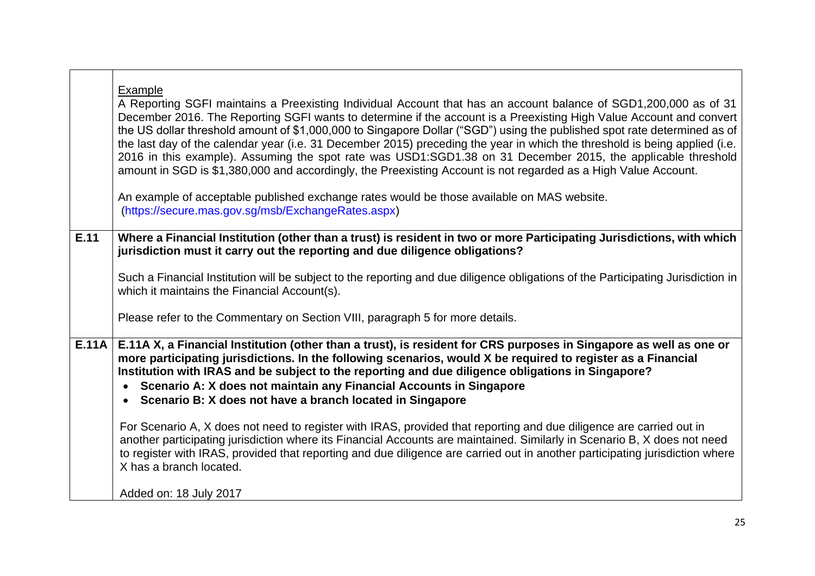|              | Example<br>A Reporting SGFI maintains a Preexisting Individual Account that has an account balance of SGD1,200,000 as of 31<br>December 2016. The Reporting SGFI wants to determine if the account is a Preexisting High Value Account and convert<br>the US dollar threshold amount of \$1,000,000 to Singapore Dollar ("SGD") using the published spot rate determined as of<br>the last day of the calendar year (i.e. 31 December 2015) preceding the year in which the threshold is being applied (i.e.<br>2016 in this example). Assuming the spot rate was USD1:SGD1.38 on 31 December 2015, the applicable threshold<br>amount in SGD is \$1,380,000 and accordingly, the Preexisting Account is not regarded as a High Value Account.<br>An example of acceptable published exchange rates would be those available on MAS website.<br>(https://secure.mas.gov.sg/msb/ExchangeRates.aspx) |
|--------------|----------------------------------------------------------------------------------------------------------------------------------------------------------------------------------------------------------------------------------------------------------------------------------------------------------------------------------------------------------------------------------------------------------------------------------------------------------------------------------------------------------------------------------------------------------------------------------------------------------------------------------------------------------------------------------------------------------------------------------------------------------------------------------------------------------------------------------------------------------------------------------------------------|
| E.11         | Where a Financial Institution (other than a trust) is resident in two or more Participating Jurisdictions, with which<br>jurisdiction must it carry out the reporting and due diligence obligations?<br>Such a Financial Institution will be subject to the reporting and due diligence obligations of the Participating Jurisdiction in<br>which it maintains the Financial Account(s).                                                                                                                                                                                                                                                                                                                                                                                                                                                                                                           |
|              | Please refer to the Commentary on Section VIII, paragraph 5 for more details.                                                                                                                                                                                                                                                                                                                                                                                                                                                                                                                                                                                                                                                                                                                                                                                                                      |
| <b>E.11A</b> | E.11A X, a Financial Institution (other than a trust), is resident for CRS purposes in Singapore as well as one or<br>more participating jurisdictions. In the following scenarios, would X be required to register as a Financial<br>Institution with IRAS and be subject to the reporting and due diligence obligations in Singapore?<br>Scenario A: X does not maintain any Financial Accounts in Singapore<br>Scenario B: X does not have a branch located in Singapore<br>$\bullet$                                                                                                                                                                                                                                                                                                                                                                                                           |
|              | For Scenario A, X does not need to register with IRAS, provided that reporting and due diligence are carried out in<br>another participating jurisdiction where its Financial Accounts are maintained. Similarly in Scenario B, X does not need<br>to register with IRAS, provided that reporting and due diligence are carried out in another participating jurisdiction where<br>X has a branch located.                                                                                                                                                                                                                                                                                                                                                                                                                                                                                         |
|              | Added on: 18 July 2017                                                                                                                                                                                                                                                                                                                                                                                                                                                                                                                                                                                                                                                                                                                                                                                                                                                                             |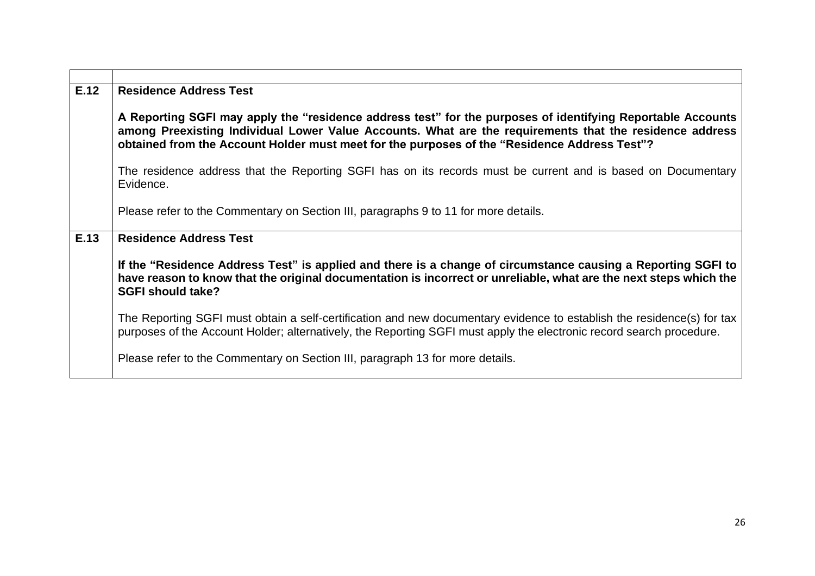| E.12 | <b>Residence Address Test</b>                                                                                                                                                                                                                                                                                          |
|------|------------------------------------------------------------------------------------------------------------------------------------------------------------------------------------------------------------------------------------------------------------------------------------------------------------------------|
|      | A Reporting SGFI may apply the "residence address test" for the purposes of identifying Reportable Accounts<br>among Preexisting Individual Lower Value Accounts. What are the requirements that the residence address<br>obtained from the Account Holder must meet for the purposes of the "Residence Address Test"? |
|      | The residence address that the Reporting SGFI has on its records must be current and is based on Documentary<br>Evidence.                                                                                                                                                                                              |
|      | Please refer to the Commentary on Section III, paragraphs 9 to 11 for more details.                                                                                                                                                                                                                                    |
| E.13 | <b>Residence Address Test</b>                                                                                                                                                                                                                                                                                          |
|      | If the "Residence Address Test" is applied and there is a change of circumstance causing a Reporting SGFI to<br>have reason to know that the original documentation is incorrect or unreliable, what are the next steps which the<br><b>SGFI should take?</b>                                                          |
|      | The Reporting SGFI must obtain a self-certification and new documentary evidence to establish the residence(s) for tax<br>purposes of the Account Holder; alternatively, the Reporting SGFI must apply the electronic record search procedure.                                                                         |
|      | Please refer to the Commentary on Section III, paragraph 13 for more details.                                                                                                                                                                                                                                          |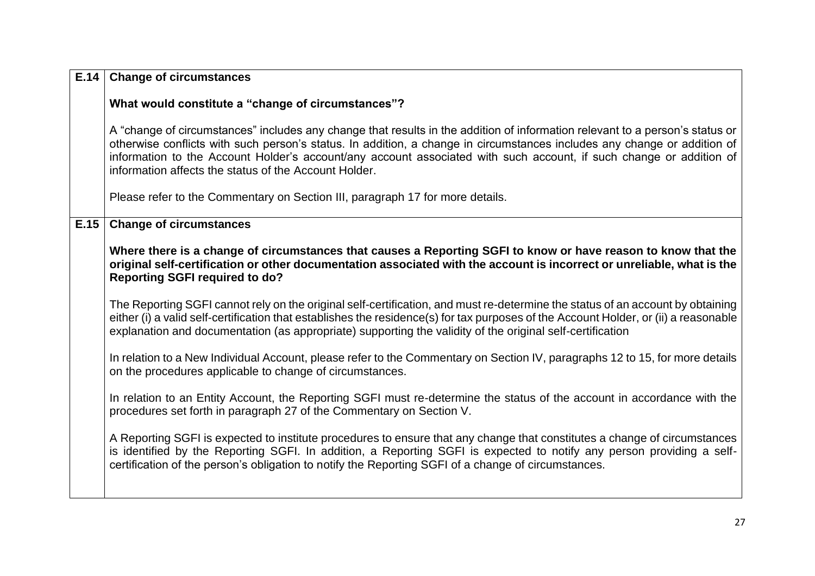| E.14 | <b>Change of circumstances</b>                                                                                                                                                                                                                                                                                                                                                                                                           |
|------|------------------------------------------------------------------------------------------------------------------------------------------------------------------------------------------------------------------------------------------------------------------------------------------------------------------------------------------------------------------------------------------------------------------------------------------|
|      | What would constitute a "change of circumstances"?                                                                                                                                                                                                                                                                                                                                                                                       |
|      | A "change of circumstances" includes any change that results in the addition of information relevant to a person's status or<br>otherwise conflicts with such person's status. In addition, a change in circumstances includes any change or addition of<br>information to the Account Holder's account/any account associated with such account, if such change or addition of<br>information affects the status of the Account Holder. |
|      | Please refer to the Commentary on Section III, paragraph 17 for more details.                                                                                                                                                                                                                                                                                                                                                            |
| E.15 | <b>Change of circumstances</b>                                                                                                                                                                                                                                                                                                                                                                                                           |
|      | Where there is a change of circumstances that causes a Reporting SGFI to know or have reason to know that the<br>original self-certification or other documentation associated with the account is incorrect or unreliable, what is the<br><b>Reporting SGFI required to do?</b>                                                                                                                                                         |
|      | The Reporting SGFI cannot rely on the original self-certification, and must re-determine the status of an account by obtaining<br>either (i) a valid self-certification that establishes the residence(s) for tax purposes of the Account Holder, or (ii) a reasonable<br>explanation and documentation (as appropriate) supporting the validity of the original self-certification                                                      |
|      | In relation to a New Individual Account, please refer to the Commentary on Section IV, paragraphs 12 to 15, for more details<br>on the procedures applicable to change of circumstances.                                                                                                                                                                                                                                                 |
|      | In relation to an Entity Account, the Reporting SGFI must re-determine the status of the account in accordance with the<br>procedures set forth in paragraph 27 of the Commentary on Section V.                                                                                                                                                                                                                                          |
|      | A Reporting SGFI is expected to institute procedures to ensure that any change that constitutes a change of circumstances<br>is identified by the Reporting SGFI. In addition, a Reporting SGFI is expected to notify any person providing a self-<br>certification of the person's obligation to notify the Reporting SGFI of a change of circumstances.                                                                                |
|      |                                                                                                                                                                                                                                                                                                                                                                                                                                          |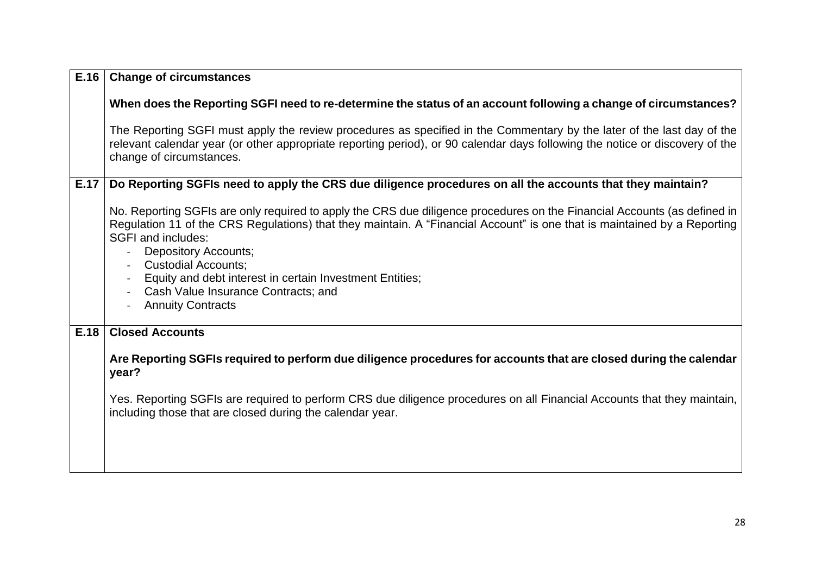| E.16 | <b>Change of circumstances</b>                                                                                                                                                                                                                                                                                                                                                                                                                                                          |
|------|-----------------------------------------------------------------------------------------------------------------------------------------------------------------------------------------------------------------------------------------------------------------------------------------------------------------------------------------------------------------------------------------------------------------------------------------------------------------------------------------|
|      | When does the Reporting SGFI need to re-determine the status of an account following a change of circumstances?                                                                                                                                                                                                                                                                                                                                                                         |
|      | The Reporting SGFI must apply the review procedures as specified in the Commentary by the later of the last day of the<br>relevant calendar year (or other appropriate reporting period), or 90 calendar days following the notice or discovery of the<br>change of circumstances.                                                                                                                                                                                                      |
| E.17 | Do Reporting SGFIs need to apply the CRS due diligence procedures on all the accounts that they maintain?                                                                                                                                                                                                                                                                                                                                                                               |
|      | No. Reporting SGFIs are only required to apply the CRS due diligence procedures on the Financial Accounts (as defined in<br>Regulation 11 of the CRS Regulations) that they maintain. A "Financial Account" is one that is maintained by a Reporting<br><b>SGFI and includes:</b><br><b>Depository Accounts;</b><br><b>Custodial Accounts;</b><br>Equity and debt interest in certain Investment Entities;<br>Cash Value Insurance Contracts; and<br><b>Annuity Contracts</b><br>$\sim$ |
| E.18 | <b>Closed Accounts</b>                                                                                                                                                                                                                                                                                                                                                                                                                                                                  |
|      | Are Reporting SGFIs required to perform due diligence procedures for accounts that are closed during the calendar<br>year?                                                                                                                                                                                                                                                                                                                                                              |
|      | Yes. Reporting SGFIs are required to perform CRS due diligence procedures on all Financial Accounts that they maintain,<br>including those that are closed during the calendar year.                                                                                                                                                                                                                                                                                                    |
|      |                                                                                                                                                                                                                                                                                                                                                                                                                                                                                         |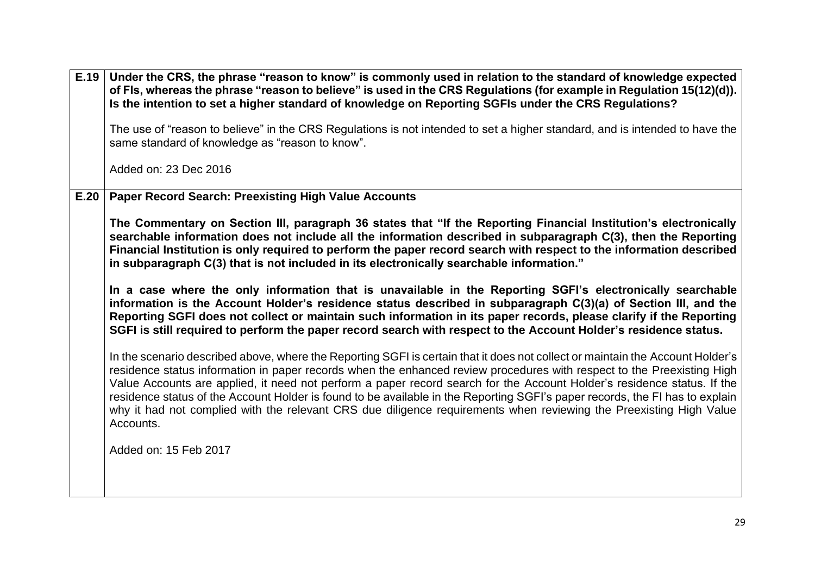| E.19 | Under the CRS, the phrase "reason to know" is commonly used in relation to the standard of knowledge expected<br>of Fls, whereas the phrase "reason to believe" is used in the CRS Regulations (for example in Regulation 15(12)(d)).<br>Is the intention to set a higher standard of knowledge on Reporting SGFIs under the CRS Regulations?                                                                                                                                                                                                                                                                                                          |
|------|--------------------------------------------------------------------------------------------------------------------------------------------------------------------------------------------------------------------------------------------------------------------------------------------------------------------------------------------------------------------------------------------------------------------------------------------------------------------------------------------------------------------------------------------------------------------------------------------------------------------------------------------------------|
|      | The use of "reason to believe" in the CRS Regulations is not intended to set a higher standard, and is intended to have the<br>same standard of knowledge as "reason to know".                                                                                                                                                                                                                                                                                                                                                                                                                                                                         |
|      | Added on: 23 Dec 2016                                                                                                                                                                                                                                                                                                                                                                                                                                                                                                                                                                                                                                  |
| E.20 | <b>Paper Record Search: Preexisting High Value Accounts</b>                                                                                                                                                                                                                                                                                                                                                                                                                                                                                                                                                                                            |
|      | The Commentary on Section III, paragraph 36 states that "If the Reporting Financial Institution's electronically<br>searchable information does not include all the information described in subparagraph C(3), then the Reporting<br>Financial Institution is only required to perform the paper record search with respect to the information described<br>in subparagraph C(3) that is not included in its electronically searchable information."                                                                                                                                                                                                  |
|      | In a case where the only information that is unavailable in the Reporting SGFI's electronically searchable<br>information is the Account Holder's residence status described in subparagraph C(3)(a) of Section III, and the<br>Reporting SGFI does not collect or maintain such information in its paper records, please clarify if the Reporting<br>SGFI is still required to perform the paper record search with respect to the Account Holder's residence status.                                                                                                                                                                                 |
|      | In the scenario described above, where the Reporting SGFI is certain that it does not collect or maintain the Account Holder's<br>residence status information in paper records when the enhanced review procedures with respect to the Preexisting High<br>Value Accounts are applied, it need not perform a paper record search for the Account Holder's residence status. If the<br>residence status of the Account Holder is found to be available in the Reporting SGFI's paper records, the FI has to explain<br>why it had not complied with the relevant CRS due diligence requirements when reviewing the Preexisting High Value<br>Accounts. |
|      | Added on: 15 Feb 2017                                                                                                                                                                                                                                                                                                                                                                                                                                                                                                                                                                                                                                  |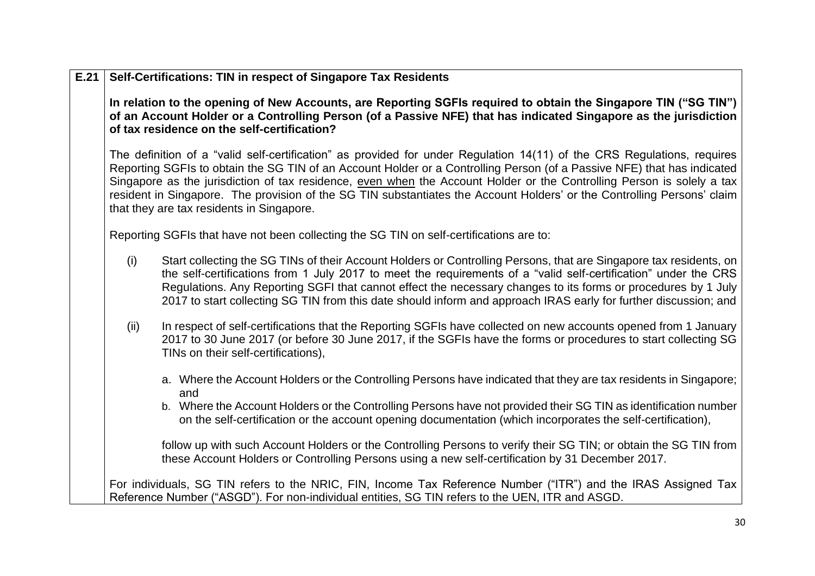| E.21 |      | Self-Certifications: TIN in respect of Singapore Tax Residents                                                                                                                                                                                                                                                                                                                                                                                                                                                                                       |
|------|------|------------------------------------------------------------------------------------------------------------------------------------------------------------------------------------------------------------------------------------------------------------------------------------------------------------------------------------------------------------------------------------------------------------------------------------------------------------------------------------------------------------------------------------------------------|
|      |      | In relation to the opening of New Accounts, are Reporting SGFIs required to obtain the Singapore TIN ("SG TIN")<br>of an Account Holder or a Controlling Person (of a Passive NFE) that has indicated Singapore as the jurisdiction<br>of tax residence on the self-certification?                                                                                                                                                                                                                                                                   |
|      |      | The definition of a "valid self-certification" as provided for under Regulation 14(11) of the CRS Regulations, requires<br>Reporting SGFIs to obtain the SG TIN of an Account Holder or a Controlling Person (of a Passive NFE) that has indicated<br>Singapore as the jurisdiction of tax residence, even when the Account Holder or the Controlling Person is solely a tax<br>resident in Singapore. The provision of the SG TIN substantiates the Account Holders' or the Controlling Persons' claim<br>that they are tax residents in Singapore. |
|      |      | Reporting SGFIs that have not been collecting the SG TIN on self-certifications are to:                                                                                                                                                                                                                                                                                                                                                                                                                                                              |
|      | (i)  | Start collecting the SG TINs of their Account Holders or Controlling Persons, that are Singapore tax residents, on<br>the self-certifications from 1 July 2017 to meet the requirements of a "valid self-certification" under the CRS<br>Regulations. Any Reporting SGFI that cannot effect the necessary changes to its forms or procedures by 1 July<br>2017 to start collecting SG TIN from this date should inform and approach IRAS early for further discussion; and                                                                           |
|      | (ii) | In respect of self-certifications that the Reporting SGFIs have collected on new accounts opened from 1 January<br>2017 to 30 June 2017 (or before 30 June 2017, if the SGFIs have the forms or procedures to start collecting SG<br>TINs on their self-certifications),                                                                                                                                                                                                                                                                             |
|      |      | a. Where the Account Holders or the Controlling Persons have indicated that they are tax residents in Singapore;<br>and                                                                                                                                                                                                                                                                                                                                                                                                                              |
|      |      | b. Where the Account Holders or the Controlling Persons have not provided their SG TIN as identification number<br>on the self-certification or the account opening documentation (which incorporates the self-certification),                                                                                                                                                                                                                                                                                                                       |
|      |      | follow up with such Account Holders or the Controlling Persons to verify their SG TIN; or obtain the SG TIN from<br>these Account Holders or Controlling Persons using a new self-certification by 31 December 2017.                                                                                                                                                                                                                                                                                                                                 |
|      |      | For individuals, SG TIN refers to the NRIC, FIN, Income Tax Reference Number ("ITR") and the IRAS Assigned Tax<br>Reference Number ("ASGD"). For non-individual entities, SG TIN refers to the UEN, ITR and ASGD.                                                                                                                                                                                                                                                                                                                                    |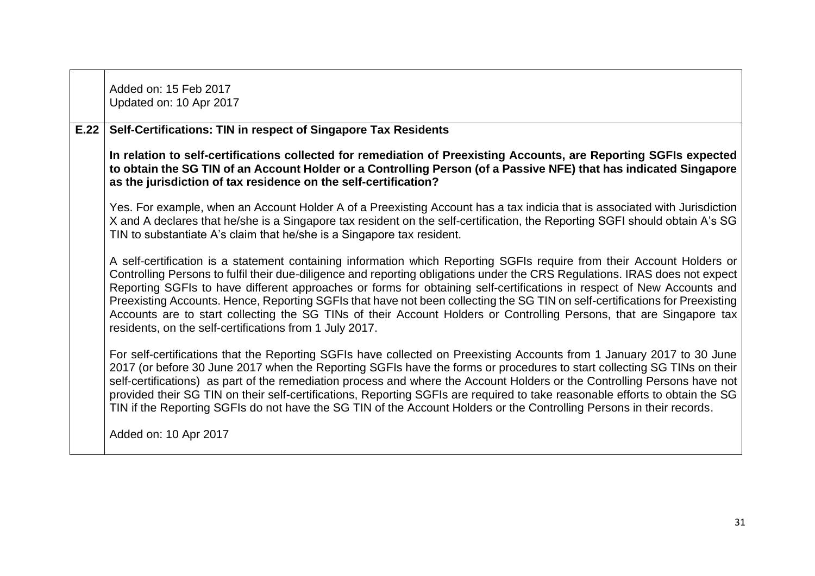|      | Added on: 15 Feb 2017<br>Updated on: 10 Apr 2017                                                                                                                                                                                                                                                                                                                                                                                                                                                                                                                                                                                                                                                   |
|------|----------------------------------------------------------------------------------------------------------------------------------------------------------------------------------------------------------------------------------------------------------------------------------------------------------------------------------------------------------------------------------------------------------------------------------------------------------------------------------------------------------------------------------------------------------------------------------------------------------------------------------------------------------------------------------------------------|
| E.22 | Self-Certifications: TIN in respect of Singapore Tax Residents                                                                                                                                                                                                                                                                                                                                                                                                                                                                                                                                                                                                                                     |
|      | In relation to self-certifications collected for remediation of Preexisting Accounts, are Reporting SGFIs expected<br>to obtain the SG TIN of an Account Holder or a Controlling Person (of a Passive NFE) that has indicated Singapore<br>as the jurisdiction of tax residence on the self-certification?                                                                                                                                                                                                                                                                                                                                                                                         |
|      | Yes. For example, when an Account Holder A of a Preexisting Account has a tax indicia that is associated with Jurisdiction<br>X and A declares that he/she is a Singapore tax resident on the self-certification, the Reporting SGFI should obtain A's SG<br>TIN to substantiate A's claim that he/she is a Singapore tax resident.                                                                                                                                                                                                                                                                                                                                                                |
|      | A self-certification is a statement containing information which Reporting SGFIs require from their Account Holders or<br>Controlling Persons to fulfil their due-diligence and reporting obligations under the CRS Regulations. IRAS does not expect<br>Reporting SGFIs to have different approaches or forms for obtaining self-certifications in respect of New Accounts and<br>Preexisting Accounts. Hence, Reporting SGFIs that have not been collecting the SG TIN on self-certifications for Preexisting<br>Accounts are to start collecting the SG TINs of their Account Holders or Controlling Persons, that are Singapore tax<br>residents, on the self-certifications from 1 July 2017. |
|      | For self-certifications that the Reporting SGFIs have collected on Preexisting Accounts from 1 January 2017 to 30 June<br>2017 (or before 30 June 2017 when the Reporting SGFIs have the forms or procedures to start collecting SG TINs on their<br>self-certifications) as part of the remediation process and where the Account Holders or the Controlling Persons have not<br>provided their SG TIN on their self-certifications, Reporting SGFIs are required to take reasonable efforts to obtain the SG<br>TIN if the Reporting SGFIs do not have the SG TIN of the Account Holders or the Controlling Persons in their records.                                                            |
|      | Added on: 10 Apr 2017                                                                                                                                                                                                                                                                                                                                                                                                                                                                                                                                                                                                                                                                              |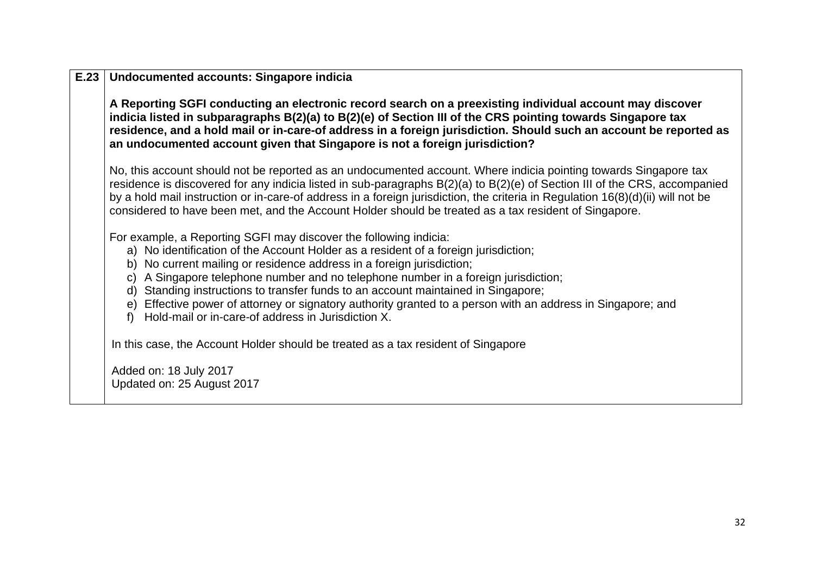| E.23 | <b>Undocumented accounts: Singapore indicia</b>                                                                                                                                                                                                                                                                                                                                                                                                                                                                                                                                      |  |
|------|--------------------------------------------------------------------------------------------------------------------------------------------------------------------------------------------------------------------------------------------------------------------------------------------------------------------------------------------------------------------------------------------------------------------------------------------------------------------------------------------------------------------------------------------------------------------------------------|--|
|      | A Reporting SGFI conducting an electronic record search on a preexisting individual account may discover<br>indicia listed in subparagraphs B(2)(a) to B(2)(e) of Section III of the CRS pointing towards Singapore tax<br>residence, and a hold mail or in-care-of address in a foreign jurisdiction. Should such an account be reported as<br>an undocumented account given that Singapore is not a foreign jurisdiction?                                                                                                                                                          |  |
|      | No, this account should not be reported as an undocumented account. Where indicia pointing towards Singapore tax<br>residence is discovered for any indicia listed in sub-paragraphs B(2)(a) to B(2)(e) of Section III of the CRS, accompanied<br>by a hold mail instruction or in-care-of address in a foreign jurisdiction, the criteria in Regulation 16(8)(d)(ii) will not be<br>considered to have been met, and the Account Holder should be treated as a tax resident of Singapore.                                                                                           |  |
|      | For example, a Reporting SGFI may discover the following indicia:<br>a) No identification of the Account Holder as a resident of a foreign jurisdiction;<br>b) No current mailing or residence address in a foreign jurisdiction;<br>c) A Singapore telephone number and no telephone number in a foreign jurisdiction;<br>d) Standing instructions to transfer funds to an account maintained in Singapore;<br>e) Effective power of attorney or signatory authority granted to a person with an address in Singapore; and<br>f) Hold-mail or in-care-of address in Jurisdiction X. |  |
|      | In this case, the Account Holder should be treated as a tax resident of Singapore                                                                                                                                                                                                                                                                                                                                                                                                                                                                                                    |  |
|      | Added on: 18 July 2017<br>Updated on: 25 August 2017                                                                                                                                                                                                                                                                                                                                                                                                                                                                                                                                 |  |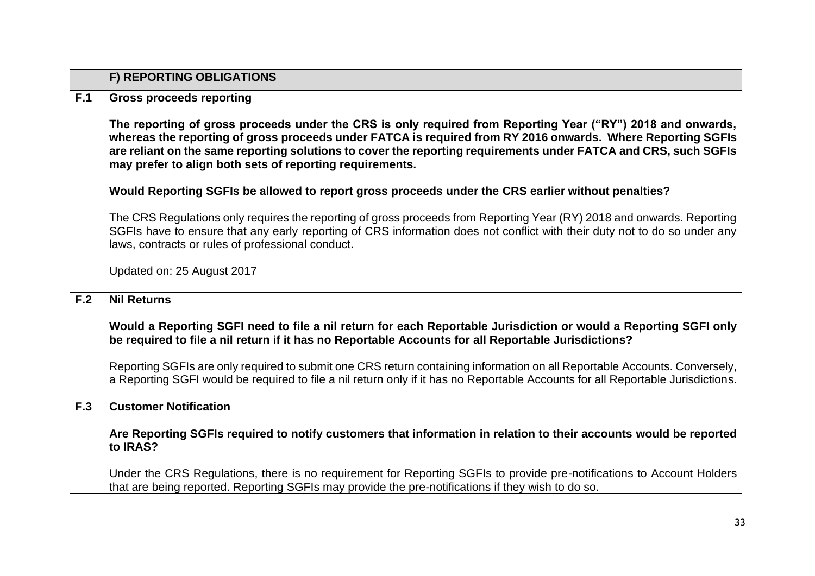<span id="page-32-0"></span>

|     | F) REPORTING OBLIGATIONS                                                                                                                                                                                                                                                                                                                                                                                  |
|-----|-----------------------------------------------------------------------------------------------------------------------------------------------------------------------------------------------------------------------------------------------------------------------------------------------------------------------------------------------------------------------------------------------------------|
| F.1 | <b>Gross proceeds reporting</b>                                                                                                                                                                                                                                                                                                                                                                           |
|     | The reporting of gross proceeds under the CRS is only required from Reporting Year ("RY") 2018 and onwards,<br>whereas the reporting of gross proceeds under FATCA is required from RY 2016 onwards. Where Reporting SGFIs<br>are reliant on the same reporting solutions to cover the reporting requirements under FATCA and CRS, such SGFIs<br>may prefer to align both sets of reporting requirements. |
|     | Would Reporting SGFIs be allowed to report gross proceeds under the CRS earlier without penalties?                                                                                                                                                                                                                                                                                                        |
|     | The CRS Regulations only requires the reporting of gross proceeds from Reporting Year (RY) 2018 and onwards. Reporting<br>SGFIs have to ensure that any early reporting of CRS information does not conflict with their duty not to do so under any<br>laws, contracts or rules of professional conduct.                                                                                                  |
|     | Updated on: 25 August 2017                                                                                                                                                                                                                                                                                                                                                                                |
| F.2 | <b>Nil Returns</b>                                                                                                                                                                                                                                                                                                                                                                                        |
|     | Would a Reporting SGFI need to file a nil return for each Reportable Jurisdiction or would a Reporting SGFI only<br>be required to file a nil return if it has no Reportable Accounts for all Reportable Jurisdictions?                                                                                                                                                                                   |
|     | Reporting SGFIs are only required to submit one CRS return containing information on all Reportable Accounts. Conversely,<br>a Reporting SGFI would be required to file a nil return only if it has no Reportable Accounts for all Reportable Jurisdictions.                                                                                                                                              |
| F.3 | <b>Customer Notification</b>                                                                                                                                                                                                                                                                                                                                                                              |
|     | Are Reporting SGFIs required to notify customers that information in relation to their accounts would be reported<br>to IRAS?                                                                                                                                                                                                                                                                             |
|     | Under the CRS Regulations, there is no requirement for Reporting SGFIs to provide pre-notifications to Account Holders<br>that are being reported. Reporting SGFIs may provide the pre-notifications if they wish to do so.                                                                                                                                                                               |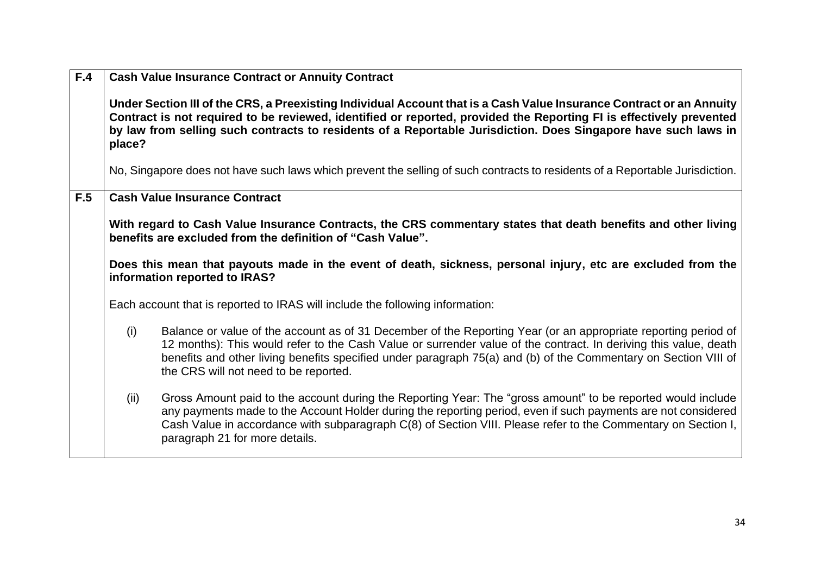| F.4 |        | <b>Cash Value Insurance Contract or Annuity Contract</b>                                                                                                                                                                                                                                                                                                                                       |
|-----|--------|------------------------------------------------------------------------------------------------------------------------------------------------------------------------------------------------------------------------------------------------------------------------------------------------------------------------------------------------------------------------------------------------|
|     | place? | Under Section III of the CRS, a Preexisting Individual Account that is a Cash Value Insurance Contract or an Annuity<br>Contract is not required to be reviewed, identified or reported, provided the Reporting FI is effectively prevented<br>by law from selling such contracts to residents of a Reportable Jurisdiction. Does Singapore have such laws in                                  |
|     |        | No, Singapore does not have such laws which prevent the selling of such contracts to residents of a Reportable Jurisdiction.                                                                                                                                                                                                                                                                   |
| F.5 |        | <b>Cash Value Insurance Contract</b>                                                                                                                                                                                                                                                                                                                                                           |
|     |        | With regard to Cash Value Insurance Contracts, the CRS commentary states that death benefits and other living<br>benefits are excluded from the definition of "Cash Value".                                                                                                                                                                                                                    |
|     |        | Does this mean that payouts made in the event of death, sickness, personal injury, etc are excluded from the<br>information reported to IRAS?                                                                                                                                                                                                                                                  |
|     |        | Each account that is reported to IRAS will include the following information:                                                                                                                                                                                                                                                                                                                  |
|     | (i)    | Balance or value of the account as of 31 December of the Reporting Year (or an appropriate reporting period of<br>12 months): This would refer to the Cash Value or surrender value of the contract. In deriving this value, death<br>benefits and other living benefits specified under paragraph 75(a) and (b) of the Commentary on Section VIII of<br>the CRS will not need to be reported. |
|     | (ii)   | Gross Amount paid to the account during the Reporting Year: The "gross amount" to be reported would include<br>any payments made to the Account Holder during the reporting period, even if such payments are not considered<br>Cash Value in accordance with subparagraph C(8) of Section VIII. Please refer to the Commentary on Section I,<br>paragraph 21 for more details.                |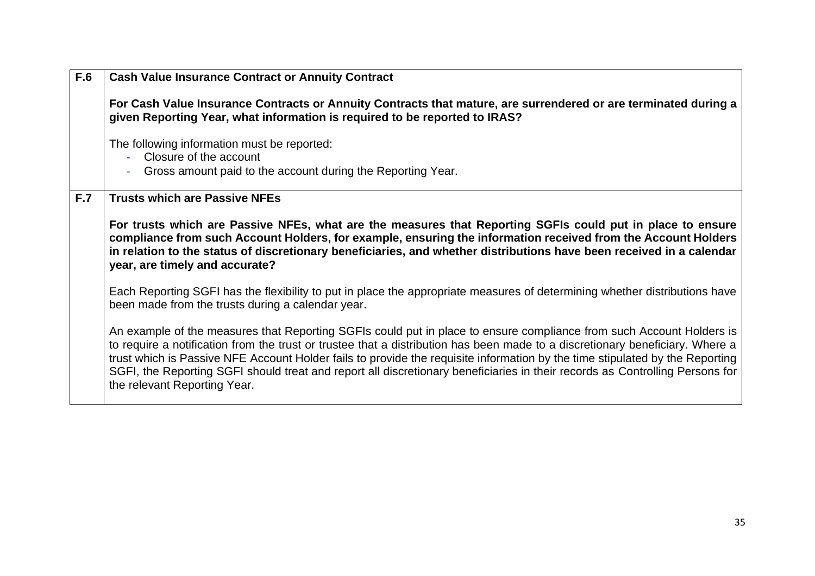| F.6 | <b>Cash Value Insurance Contract or Annuity Contract</b>                                                                                                                                                                                                                                                                                                                                                                                                                                                                                              |
|-----|-------------------------------------------------------------------------------------------------------------------------------------------------------------------------------------------------------------------------------------------------------------------------------------------------------------------------------------------------------------------------------------------------------------------------------------------------------------------------------------------------------------------------------------------------------|
|     | For Cash Value Insurance Contracts or Annuity Contracts that mature, are surrendered or are terminated during a<br>given Reporting Year, what information is required to be reported to IRAS?                                                                                                                                                                                                                                                                                                                                                         |
|     | The following information must be reported:<br>Closure of the account<br>Gross amount paid to the account during the Reporting Year.                                                                                                                                                                                                                                                                                                                                                                                                                  |
| F.7 | <b>Trusts which are Passive NFEs</b>                                                                                                                                                                                                                                                                                                                                                                                                                                                                                                                  |
|     | For trusts which are Passive NFEs, what are the measures that Reporting SGFIs could put in place to ensure<br>compliance from such Account Holders, for example, ensuring the information received from the Account Holders<br>in relation to the status of discretionary beneficiaries, and whether distributions have been received in a calendar<br>year, are timely and accurate?                                                                                                                                                                 |
|     | Each Reporting SGFI has the flexibility to put in place the appropriate measures of determining whether distributions have<br>been made from the trusts during a calendar year.                                                                                                                                                                                                                                                                                                                                                                       |
|     | An example of the measures that Reporting SGFIs could put in place to ensure compliance from such Account Holders is<br>to require a notification from the trust or trustee that a distribution has been made to a discretionary beneficiary. Where a<br>trust which is Passive NFE Account Holder fails to provide the requisite information by the time stipulated by the Reporting<br>SGFI, the Reporting SGFI should treat and report all discretionary beneficiaries in their records as Controlling Persons for<br>the relevant Reporting Year. |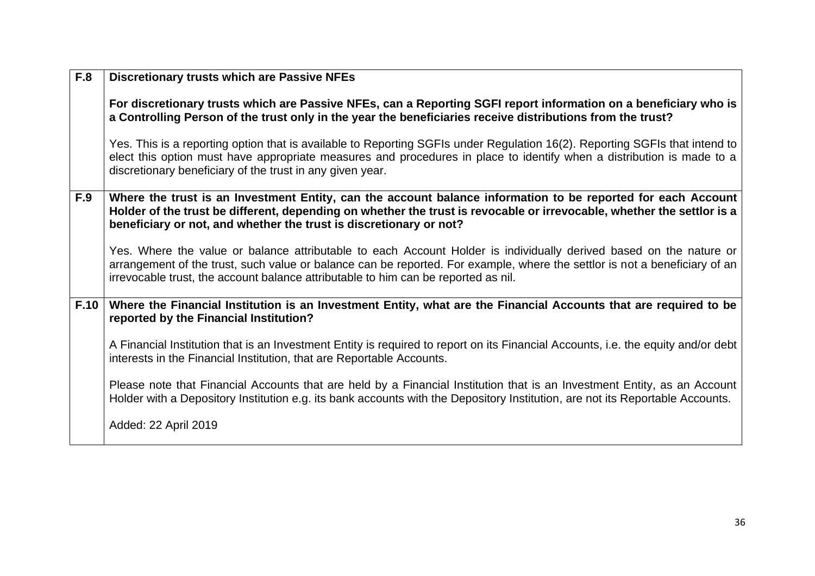| <b>F.8</b> | <b>Discretionary trusts which are Passive NFEs</b>                                                                                                                                                                                                                                                                                     |
|------------|----------------------------------------------------------------------------------------------------------------------------------------------------------------------------------------------------------------------------------------------------------------------------------------------------------------------------------------|
|            | For discretionary trusts which are Passive NFEs, can a Reporting SGFI report information on a beneficiary who is<br>a Controlling Person of the trust only in the year the beneficiaries receive distributions from the trust?                                                                                                         |
|            | Yes. This is a reporting option that is available to Reporting SGFIs under Regulation 16(2). Reporting SGFIs that intend to<br>elect this option must have appropriate measures and procedures in place to identify when a distribution is made to a<br>discretionary beneficiary of the trust in any given year.                      |
| F.9        | Where the trust is an Investment Entity, can the account balance information to be reported for each Account<br>Holder of the trust be different, depending on whether the trust is revocable or irrevocable, whether the settlor is a<br>beneficiary or not, and whether the trust is discretionary or not?                           |
|            | Yes. Where the value or balance attributable to each Account Holder is individually derived based on the nature or<br>arrangement of the trust, such value or balance can be reported. For example, where the settlor is not a beneficiary of an<br>irrevocable trust, the account balance attributable to him can be reported as nil. |
| F.10       | Where the Financial Institution is an Investment Entity, what are the Financial Accounts that are required to be<br>reported by the Financial Institution?                                                                                                                                                                             |
|            | A Financial Institution that is an Investment Entity is required to report on its Financial Accounts, i.e. the equity and/or debt<br>interests in the Financial Institution, that are Reportable Accounts.                                                                                                                             |
|            | Please note that Financial Accounts that are held by a Financial Institution that is an Investment Entity, as an Account<br>Holder with a Depository Institution e.g. its bank accounts with the Depository Institution, are not its Reportable Accounts.                                                                              |
|            | Added: 22 April 2019                                                                                                                                                                                                                                                                                                                   |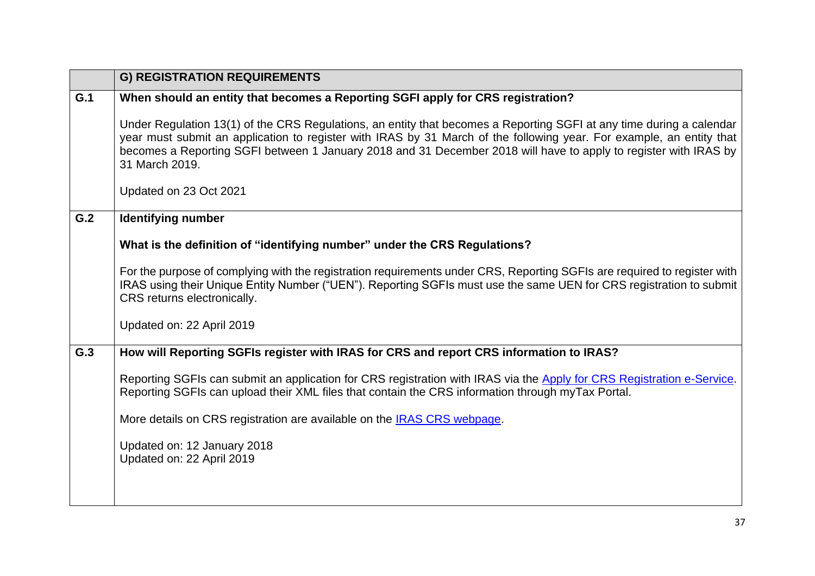<span id="page-36-0"></span>

|     | <b>G) REGISTRATION REQUIREMENTS</b>                                                                                                                                                                                                                                                                                                                                                |
|-----|------------------------------------------------------------------------------------------------------------------------------------------------------------------------------------------------------------------------------------------------------------------------------------------------------------------------------------------------------------------------------------|
| G.1 | When should an entity that becomes a Reporting SGFI apply for CRS registration?                                                                                                                                                                                                                                                                                                    |
|     | Under Regulation 13(1) of the CRS Regulations, an entity that becomes a Reporting SGFI at any time during a calendar<br>year must submit an application to register with IRAS by 31 March of the following year. For example, an entity that<br>becomes a Reporting SGFI between 1 January 2018 and 31 December 2018 will have to apply to register with IRAS by<br>31 March 2019. |
|     | Updated on 23 Oct 2021                                                                                                                                                                                                                                                                                                                                                             |
| G.2 | <b>Identifying number</b>                                                                                                                                                                                                                                                                                                                                                          |
|     | What is the definition of "identifying number" under the CRS Regulations?                                                                                                                                                                                                                                                                                                          |
|     | For the purpose of complying with the registration requirements under CRS, Reporting SGFIs are required to register with<br>IRAS using their Unique Entity Number ("UEN"). Reporting SGFIs must use the same UEN for CRS registration to submit<br>CRS returns electronically.                                                                                                     |
|     | Updated on: 22 April 2019                                                                                                                                                                                                                                                                                                                                                          |
| G.3 | How will Reporting SGFIs register with IRAS for CRS and report CRS information to IRAS?                                                                                                                                                                                                                                                                                            |
|     | Reporting SGFIs can submit an application for CRS registration with IRAS via the Apply for CRS Registration e-Service.<br>Reporting SGFIs can upload their XML files that contain the CRS information through myTax Portal.                                                                                                                                                        |
|     | More details on CRS registration are available on the IRAS CRS webpage.                                                                                                                                                                                                                                                                                                            |
|     | Updated on: 12 January 2018<br>Updated on: 22 April 2019                                                                                                                                                                                                                                                                                                                           |
|     |                                                                                                                                                                                                                                                                                                                                                                                    |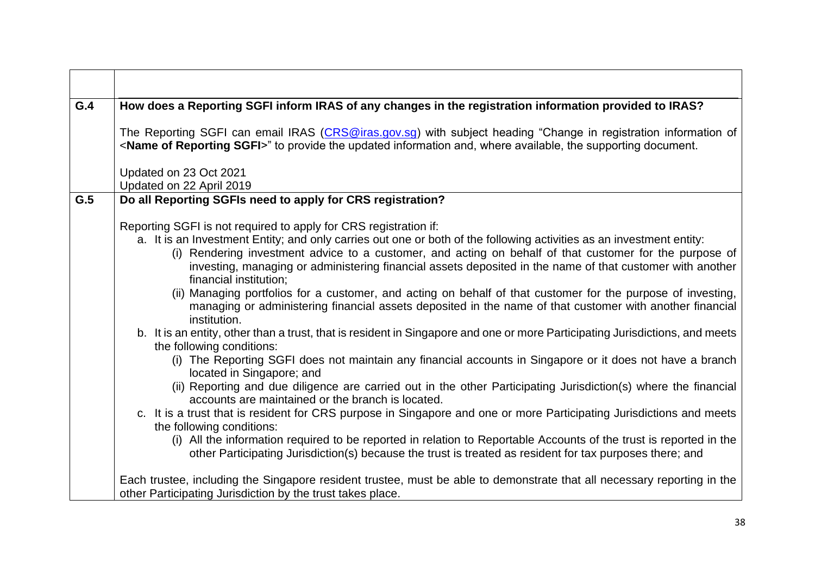| G.4 | How does a Reporting SGFI inform IRAS of any changes in the registration information provided to IRAS?                                                                                                                                                                                                                                                                                                                                                                                                                                                                                                                                                                                                                                                                                                                                                                                                                                                                                                                                                                                                                                                                                                                                                                                                                                                                                                                                                                                                                                                       |
|-----|--------------------------------------------------------------------------------------------------------------------------------------------------------------------------------------------------------------------------------------------------------------------------------------------------------------------------------------------------------------------------------------------------------------------------------------------------------------------------------------------------------------------------------------------------------------------------------------------------------------------------------------------------------------------------------------------------------------------------------------------------------------------------------------------------------------------------------------------------------------------------------------------------------------------------------------------------------------------------------------------------------------------------------------------------------------------------------------------------------------------------------------------------------------------------------------------------------------------------------------------------------------------------------------------------------------------------------------------------------------------------------------------------------------------------------------------------------------------------------------------------------------------------------------------------------------|
|     | The Reporting SGFI can email IRAS (CRS@iras.gov.sg) with subject heading "Change in registration information of<br><name of="" reporting="" sgfi="">" to provide the updated information and, where available, the supporting document.</name>                                                                                                                                                                                                                                                                                                                                                                                                                                                                                                                                                                                                                                                                                                                                                                                                                                                                                                                                                                                                                                                                                                                                                                                                                                                                                                               |
|     | Updated on 23 Oct 2021<br>Updated on 22 April 2019                                                                                                                                                                                                                                                                                                                                                                                                                                                                                                                                                                                                                                                                                                                                                                                                                                                                                                                                                                                                                                                                                                                                                                                                                                                                                                                                                                                                                                                                                                           |
| G.5 | Do all Reporting SGFIs need to apply for CRS registration?                                                                                                                                                                                                                                                                                                                                                                                                                                                                                                                                                                                                                                                                                                                                                                                                                                                                                                                                                                                                                                                                                                                                                                                                                                                                                                                                                                                                                                                                                                   |
|     | Reporting SGFI is not required to apply for CRS registration if:<br>a. It is an Investment Entity; and only carries out one or both of the following activities as an investment entity:<br>(i) Rendering investment advice to a customer, and acting on behalf of that customer for the purpose of<br>investing, managing or administering financial assets deposited in the name of that customer with another<br>financial institution;<br>(ii) Managing portfolios for a customer, and acting on behalf of that customer for the purpose of investing,<br>managing or administering financial assets deposited in the name of that customer with another financial<br>institution.<br>b. It is an entity, other than a trust, that is resident in Singapore and one or more Participating Jurisdictions, and meets<br>the following conditions:<br>(i) The Reporting SGFI does not maintain any financial accounts in Singapore or it does not have a branch<br>located in Singapore; and<br>(ii) Reporting and due diligence are carried out in the other Participating Jurisdiction(s) where the financial<br>accounts are maintained or the branch is located.<br>c. It is a trust that is resident for CRS purpose in Singapore and one or more Participating Jurisdictions and meets<br>the following conditions:<br>(i) All the information required to be reported in relation to Reportable Accounts of the trust is reported in the<br>other Participating Jurisdiction(s) because the trust is treated as resident for tax purposes there; and |
|     | Each trustee, including the Singapore resident trustee, must be able to demonstrate that all necessary reporting in the<br>other Participating Jurisdiction by the trust takes place.                                                                                                                                                                                                                                                                                                                                                                                                                                                                                                                                                                                                                                                                                                                                                                                                                                                                                                                                                                                                                                                                                                                                                                                                                                                                                                                                                                        |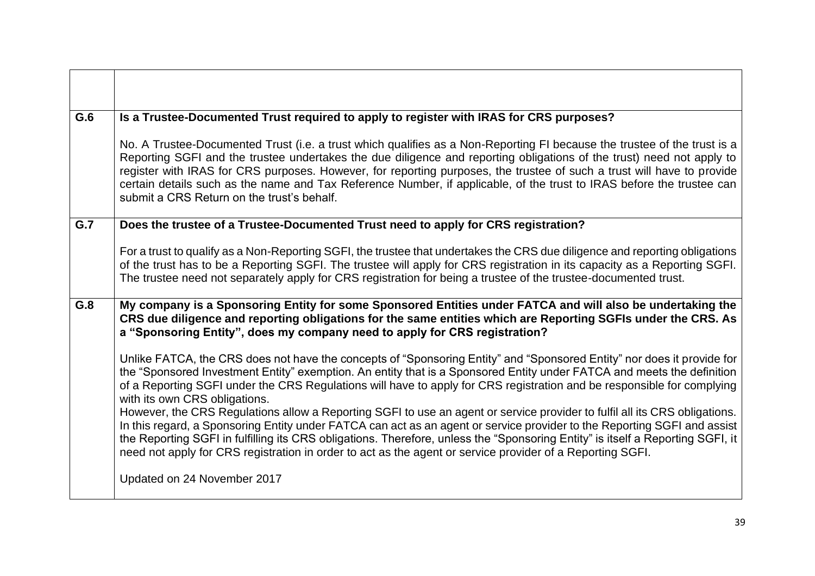| G.6 | Is a Trustee-Documented Trust required to apply to register with IRAS for CRS purposes?                                                                                                                                                                                                                                                                                                                                                                                                                                                            |
|-----|----------------------------------------------------------------------------------------------------------------------------------------------------------------------------------------------------------------------------------------------------------------------------------------------------------------------------------------------------------------------------------------------------------------------------------------------------------------------------------------------------------------------------------------------------|
|     | No. A Trustee-Documented Trust (i.e. a trust which qualifies as a Non-Reporting FI because the trustee of the trust is a<br>Reporting SGFI and the trustee undertakes the due diligence and reporting obligations of the trust) need not apply to<br>register with IRAS for CRS purposes. However, for reporting purposes, the trustee of such a trust will have to provide<br>certain details such as the name and Tax Reference Number, if applicable, of the trust to IRAS before the trustee can<br>submit a CRS Return on the trust's behalf. |
| G.7 | Does the trustee of a Trustee-Documented Trust need to apply for CRS registration?                                                                                                                                                                                                                                                                                                                                                                                                                                                                 |
|     | For a trust to qualify as a Non-Reporting SGFI, the trustee that undertakes the CRS due diligence and reporting obligations<br>of the trust has to be a Reporting SGFI. The trustee will apply for CRS registration in its capacity as a Reporting SGFI.<br>The trustee need not separately apply for CRS registration for being a trustee of the trustee-documented trust.                                                                                                                                                                        |
| G.8 | My company is a Sponsoring Entity for some Sponsored Entities under FATCA and will also be undertaking the<br>CRS due diligence and reporting obligations for the same entities which are Reporting SGFIs under the CRS. As<br>a "Sponsoring Entity", does my company need to apply for CRS registration?                                                                                                                                                                                                                                          |
|     | Unlike FATCA, the CRS does not have the concepts of "Sponsoring Entity" and "Sponsored Entity" nor does it provide for<br>the "Sponsored Investment Entity" exemption. An entity that is a Sponsored Entity under FATCA and meets the definition<br>of a Reporting SGFI under the CRS Regulations will have to apply for CRS registration and be responsible for complying<br>with its own CRS obligations.<br>However, the CRS Regulations allow a Reporting SGFI to use an agent or service provider to fulfil all its CRS obligations.          |
|     | In this regard, a Sponsoring Entity under FATCA can act as an agent or service provider to the Reporting SGFI and assist<br>the Reporting SGFI in fulfilling its CRS obligations. Therefore, unless the "Sponsoring Entity" is itself a Reporting SGFI, it<br>need not apply for CRS registration in order to act as the agent or service provider of a Reporting SGFI.                                                                                                                                                                            |
|     | Updated on 24 November 2017                                                                                                                                                                                                                                                                                                                                                                                                                                                                                                                        |

 $\Gamma$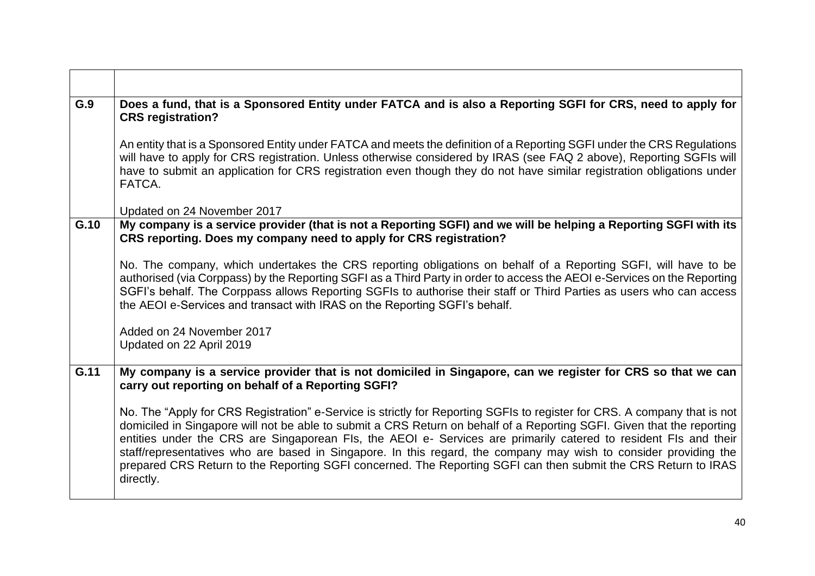| G.9  | Does a fund, that is a Sponsored Entity under FATCA and is also a Reporting SGFI for CRS, need to apply for<br><b>CRS registration?</b>                                                                                                                                                                                                                                                                                                                                                                                                                                                                                    |
|------|----------------------------------------------------------------------------------------------------------------------------------------------------------------------------------------------------------------------------------------------------------------------------------------------------------------------------------------------------------------------------------------------------------------------------------------------------------------------------------------------------------------------------------------------------------------------------------------------------------------------------|
|      | An entity that is a Sponsored Entity under FATCA and meets the definition of a Reporting SGFI under the CRS Regulations<br>will have to apply for CRS registration. Unless otherwise considered by IRAS (see FAQ 2 above), Reporting SGFIs will<br>have to submit an application for CRS registration even though they do not have similar registration obligations under<br>FATCA.                                                                                                                                                                                                                                        |
|      | Updated on 24 November 2017                                                                                                                                                                                                                                                                                                                                                                                                                                                                                                                                                                                                |
| G.10 | My company is a service provider (that is not a Reporting SGFI) and we will be helping a Reporting SGFI with its<br>CRS reporting. Does my company need to apply for CRS registration?                                                                                                                                                                                                                                                                                                                                                                                                                                     |
|      | No. The company, which undertakes the CRS reporting obligations on behalf of a Reporting SGFI, will have to be<br>authorised (via Corppass) by the Reporting SGFI as a Third Party in order to access the AEOI e-Services on the Reporting<br>SGFI's behalf. The Corppass allows Reporting SGFIs to authorise their staff or Third Parties as users who can access<br>the AEOI e-Services and transact with IRAS on the Reporting SGFI's behalf.                                                                                                                                                                           |
|      | Added on 24 November 2017<br>Updated on 22 April 2019                                                                                                                                                                                                                                                                                                                                                                                                                                                                                                                                                                      |
| G.11 | My company is a service provider that is not domiciled in Singapore, can we register for CRS so that we can<br>carry out reporting on behalf of a Reporting SGFI?                                                                                                                                                                                                                                                                                                                                                                                                                                                          |
|      | No. The "Apply for CRS Registration" e-Service is strictly for Reporting SGFIs to register for CRS. A company that is not<br>domiciled in Singapore will not be able to submit a CRS Return on behalf of a Reporting SGFI. Given that the reporting<br>entities under the CRS are Singaporean FIs, the AEOI e- Services are primarily catered to resident FIs and their<br>staff/representatives who are based in Singapore. In this regard, the company may wish to consider providing the<br>prepared CRS Return to the Reporting SGFI concerned. The Reporting SGFI can then submit the CRS Return to IRAS<br>directly. |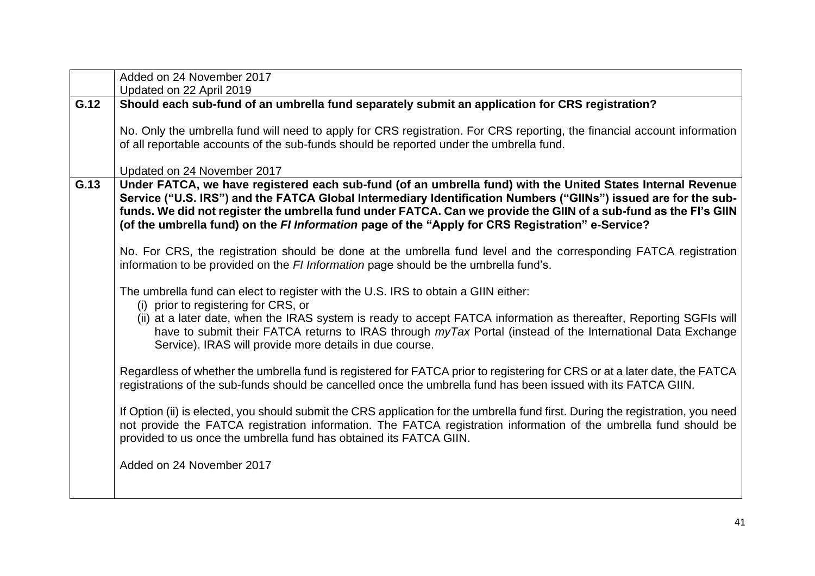|      | Added on 24 November 2017                                                                                                                                                                                                                                                                                                                                                                                                                              |
|------|--------------------------------------------------------------------------------------------------------------------------------------------------------------------------------------------------------------------------------------------------------------------------------------------------------------------------------------------------------------------------------------------------------------------------------------------------------|
|      | Updated on 22 April 2019                                                                                                                                                                                                                                                                                                                                                                                                                               |
| G.12 | Should each sub-fund of an umbrella fund separately submit an application for CRS registration?                                                                                                                                                                                                                                                                                                                                                        |
|      | No. Only the umbrella fund will need to apply for CRS registration. For CRS reporting, the financial account information<br>of all reportable accounts of the sub-funds should be reported under the umbrella fund.                                                                                                                                                                                                                                    |
|      | Updated on 24 November 2017                                                                                                                                                                                                                                                                                                                                                                                                                            |
| G.13 | Under FATCA, we have registered each sub-fund (of an umbrella fund) with the United States Internal Revenue<br>Service ("U.S. IRS") and the FATCA Global Intermediary Identification Numbers ("GIINs") issued are for the sub-<br>funds. We did not register the umbrella fund under FATCA. Can we provide the GIIN of a sub-fund as the FI's GIIN<br>(of the umbrella fund) on the FI Information page of the "Apply for CRS Registration" e-Service? |
|      | No. For CRS, the registration should be done at the umbrella fund level and the corresponding FATCA registration<br>information to be provided on the FI Information page should be the umbrella fund's.                                                                                                                                                                                                                                               |
|      | The umbrella fund can elect to register with the U.S. IRS to obtain a GIIN either:<br>(i) prior to registering for CRS, or<br>(ii) at a later date, when the IRAS system is ready to accept FATCA information as thereafter, Reporting SGFIs will<br>have to submit their FATCA returns to IRAS through <i>myTax</i> Portal (instead of the International Data Exchange<br>Service). IRAS will provide more details in due course.                     |
|      | Regardless of whether the umbrella fund is registered for FATCA prior to registering for CRS or at a later date, the FATCA<br>registrations of the sub-funds should be cancelled once the umbrella fund has been issued with its FATCA GIIN.                                                                                                                                                                                                           |
|      | If Option (ii) is elected, you should submit the CRS application for the umbrella fund first. During the registration, you need<br>not provide the FATCA registration information. The FATCA registration information of the umbrella fund should be<br>provided to us once the umbrella fund has obtained its FATCA GIIN.                                                                                                                             |
|      | Added on 24 November 2017                                                                                                                                                                                                                                                                                                                                                                                                                              |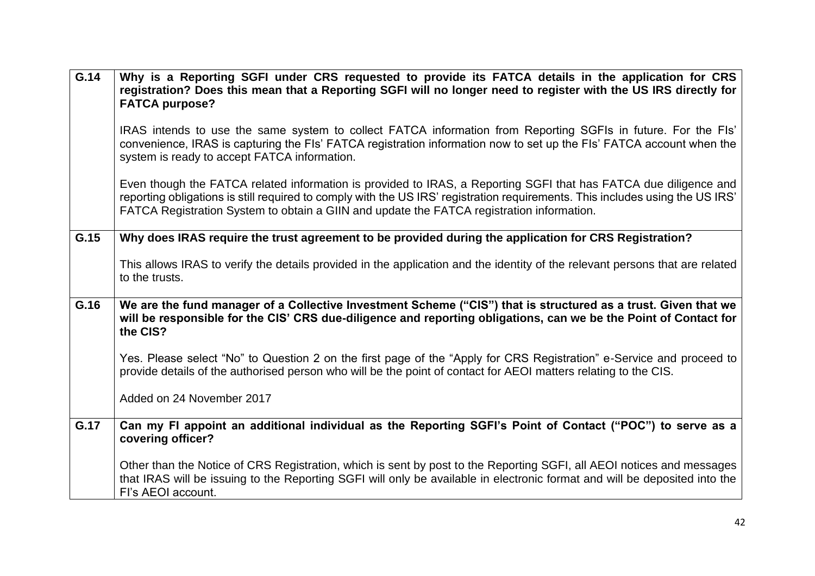| $\overline{G.14}$ | Why is a Reporting SGFI under CRS requested to provide its FATCA details in the application for CRS<br>registration? Does this mean that a Reporting SGFI will no longer need to register with the US IRS directly for<br><b>FATCA purpose?</b>                                                                                                |
|-------------------|------------------------------------------------------------------------------------------------------------------------------------------------------------------------------------------------------------------------------------------------------------------------------------------------------------------------------------------------|
|                   | IRAS intends to use the same system to collect FATCA information from Reporting SGFIs in future. For the FIs'<br>convenience, IRAS is capturing the FIs' FATCA registration information now to set up the FIs' FATCA account when the<br>system is ready to accept FATCA information.                                                          |
|                   | Even though the FATCA related information is provided to IRAS, a Reporting SGFI that has FATCA due diligence and<br>reporting obligations is still required to comply with the US IRS' registration requirements. This includes using the US IRS'<br>FATCA Registration System to obtain a GIIN and update the FATCA registration information. |
| G.15              | Why does IRAS require the trust agreement to be provided during the application for CRS Registration?                                                                                                                                                                                                                                          |
|                   | This allows IRAS to verify the details provided in the application and the identity of the relevant persons that are related<br>to the trusts.                                                                                                                                                                                                 |
| G.16              | We are the fund manager of a Collective Investment Scheme ("CIS") that is structured as a trust. Given that we<br>will be responsible for the CIS' CRS due-diligence and reporting obligations, can we be the Point of Contact for<br>the CIS?                                                                                                 |
|                   | Yes. Please select "No" to Question 2 on the first page of the "Apply for CRS Registration" e-Service and proceed to<br>provide details of the authorised person who will be the point of contact for AEOI matters relating to the CIS.                                                                                                        |
|                   | Added on 24 November 2017                                                                                                                                                                                                                                                                                                                      |
| G.17              | Can my FI appoint an additional individual as the Reporting SGFI's Point of Contact ("POC") to serve as a<br>covering officer?                                                                                                                                                                                                                 |
|                   | Other than the Notice of CRS Registration, which is sent by post to the Reporting SGFI, all AEOI notices and messages<br>that IRAS will be issuing to the Reporting SGFI will only be available in electronic format and will be deposited into the<br>Fl's AEOI account.                                                                      |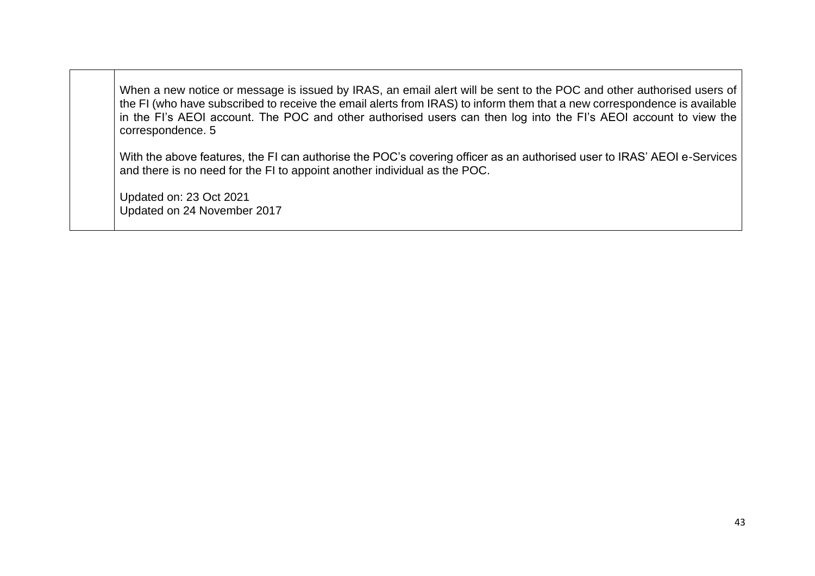When a new notice or message is issued by IRAS, an email alert will be sent to the POC and other authorised users of the FI (who have subscribed to receive the email alerts from IRAS) to inform them that a new correspondence is available in the FI's AEOI account. The POC and other authorised users can then log into the FI's AEOI account to view the correspondence. 5

With the above features, the FI can authorise the POC's covering officer as an authorised user to IRAS' AEOI e-Services and there is no need for the FI to appoint another individual as the POC.

Updated on: 23 Oct 2021 Updated on 24 November 2017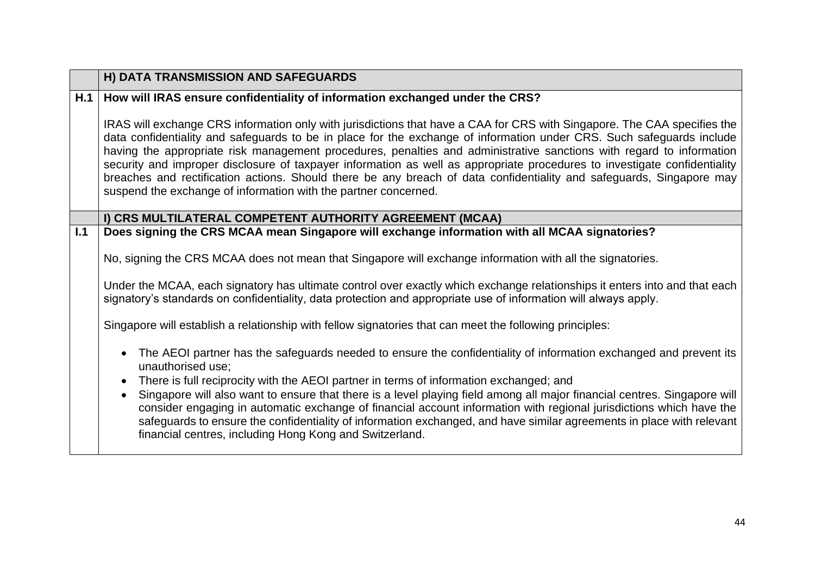<span id="page-43-1"></span><span id="page-43-0"></span>

|     | H) DATA TRANSMISSION AND SAFEGUARDS                                                                                                                                                                                                                                                                                                                                                                                                                                                                                                                                                                                                                                                               |
|-----|---------------------------------------------------------------------------------------------------------------------------------------------------------------------------------------------------------------------------------------------------------------------------------------------------------------------------------------------------------------------------------------------------------------------------------------------------------------------------------------------------------------------------------------------------------------------------------------------------------------------------------------------------------------------------------------------------|
| H.1 | How will IRAS ensure confidentiality of information exchanged under the CRS?                                                                                                                                                                                                                                                                                                                                                                                                                                                                                                                                                                                                                      |
|     | IRAS will exchange CRS information only with jurisdictions that have a CAA for CRS with Singapore. The CAA specifies the<br>data confidentiality and safeguards to be in place for the exchange of information under CRS. Such safeguards include<br>having the appropriate risk management procedures, penalties and administrative sanctions with regard to information<br>security and improper disclosure of taxpayer information as well as appropriate procedures to investigate confidentiality<br>breaches and rectification actions. Should there be any breach of data confidentiality and safeguards, Singapore may<br>suspend the exchange of information with the partner concerned. |
|     | I) CRS MULTILATERAL COMPETENT AUTHORITY AGREEMENT (MCAA)                                                                                                                                                                                                                                                                                                                                                                                                                                                                                                                                                                                                                                          |
| 1.1 | Does signing the CRS MCAA mean Singapore will exchange information with all MCAA signatories?                                                                                                                                                                                                                                                                                                                                                                                                                                                                                                                                                                                                     |
|     | No, signing the CRS MCAA does not mean that Singapore will exchange information with all the signatories.                                                                                                                                                                                                                                                                                                                                                                                                                                                                                                                                                                                         |
|     | Under the MCAA, each signatory has ultimate control over exactly which exchange relationships it enters into and that each<br>signatory's standards on confidentiality, data protection and appropriate use of information will always apply.                                                                                                                                                                                                                                                                                                                                                                                                                                                     |
|     | Singapore will establish a relationship with fellow signatories that can meet the following principles:                                                                                                                                                                                                                                                                                                                                                                                                                                                                                                                                                                                           |
|     | The AEOI partner has the safeguards needed to ensure the confidentiality of information exchanged and prevent its<br>$\bullet$<br>unauthorised use;                                                                                                                                                                                                                                                                                                                                                                                                                                                                                                                                               |
|     | There is full reciprocity with the AEOI partner in terms of information exchanged; and<br>$\bullet$                                                                                                                                                                                                                                                                                                                                                                                                                                                                                                                                                                                               |
|     | Singapore will also want to ensure that there is a level playing field among all major financial centres. Singapore will<br>$\bullet$<br>consider engaging in automatic exchange of financial account information with regional jurisdictions which have the<br>safeguards to ensure the confidentiality of information exchanged, and have similar agreements in place with relevant<br>financial centres, including Hong Kong and Switzerland.                                                                                                                                                                                                                                                  |
|     |                                                                                                                                                                                                                                                                                                                                                                                                                                                                                                                                                                                                                                                                                                   |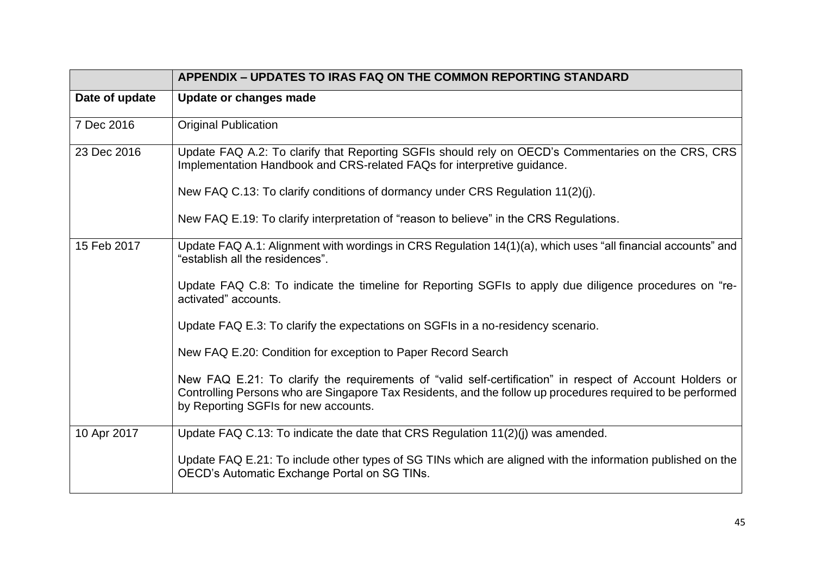<span id="page-44-0"></span>

|                | <b>APPENDIX – UPDATES TO IRAS FAQ ON THE COMMON REPORTING STANDARD</b>                                                                                                                                                                                         |
|----------------|----------------------------------------------------------------------------------------------------------------------------------------------------------------------------------------------------------------------------------------------------------------|
| Date of update | Update or changes made                                                                                                                                                                                                                                         |
| 7 Dec 2016     | <b>Original Publication</b>                                                                                                                                                                                                                                    |
| 23 Dec 2016    | Update FAQ A.2: To clarify that Reporting SGFIs should rely on OECD's Commentaries on the CRS, CRS<br>Implementation Handbook and CRS-related FAQs for interpretive guidance.                                                                                  |
|                | New FAQ C.13: To clarify conditions of dormancy under CRS Regulation 11(2)(j).                                                                                                                                                                                 |
|                | New FAQ E.19: To clarify interpretation of "reason to believe" in the CRS Regulations.                                                                                                                                                                         |
| 15 Feb 2017    | Update FAQ A.1: Alignment with wordings in CRS Regulation 14(1)(a), which uses "all financial accounts" and<br>"establish all the residences".                                                                                                                 |
|                | Update FAQ C.8: To indicate the timeline for Reporting SGFIs to apply due diligence procedures on "re-<br>activated" accounts.                                                                                                                                 |
|                | Update FAQ E.3: To clarify the expectations on SGFIs in a no-residency scenario.                                                                                                                                                                               |
|                | New FAQ E.20: Condition for exception to Paper Record Search                                                                                                                                                                                                   |
|                | New FAQ E.21: To clarify the requirements of "valid self-certification" in respect of Account Holders or<br>Controlling Persons who are Singapore Tax Residents, and the follow up procedures required to be performed<br>by Reporting SGFIs for new accounts. |
| 10 Apr 2017    | Update FAQ C.13: To indicate the date that CRS Regulation 11(2)(j) was amended.                                                                                                                                                                                |
|                | Update FAQ E.21: To include other types of SG TINs which are aligned with the information published on the<br>OECD's Automatic Exchange Portal on SG TINs.                                                                                                     |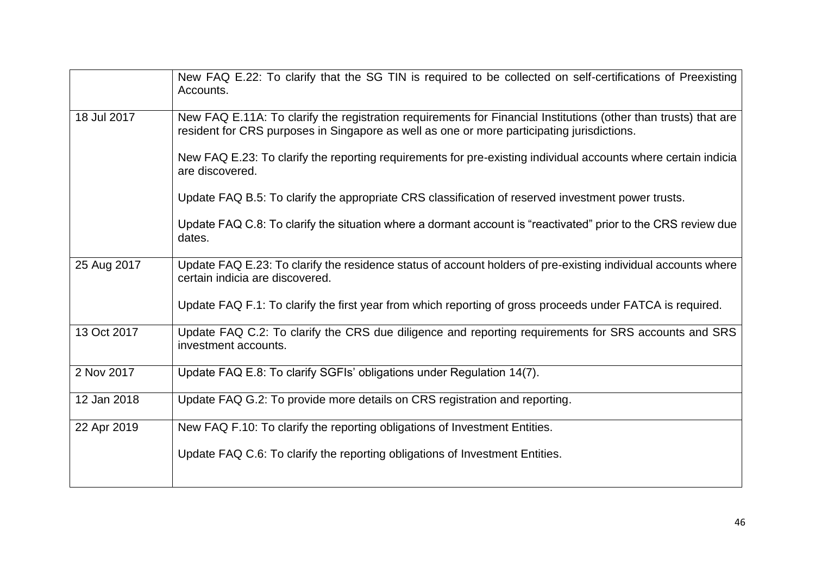|             | New FAQ E.22: To clarify that the SG TIN is required to be collected on self-certifications of Preexisting<br>Accounts.                                                                                       |
|-------------|---------------------------------------------------------------------------------------------------------------------------------------------------------------------------------------------------------------|
| 18 Jul 2017 | New FAQ E.11A: To clarify the registration requirements for Financial Institutions (other than trusts) that are<br>resident for CRS purposes in Singapore as well as one or more participating jurisdictions. |
|             | New FAQ E.23: To clarify the reporting requirements for pre-existing individual accounts where certain indicia<br>are discovered.                                                                             |
|             | Update FAQ B.5: To clarify the appropriate CRS classification of reserved investment power trusts.                                                                                                            |
|             | Update FAQ C.8: To clarify the situation where a dormant account is "reactivated" prior to the CRS review due<br>dates.                                                                                       |
| 25 Aug 2017 | Update FAQ E.23: To clarify the residence status of account holders of pre-existing individual accounts where<br>certain indicia are discovered.                                                              |
|             | Update FAQ F.1: To clarify the first year from which reporting of gross proceeds under FATCA is required.                                                                                                     |
| 13 Oct 2017 | Update FAQ C.2: To clarify the CRS due diligence and reporting requirements for SRS accounts and SRS<br>investment accounts.                                                                                  |
| 2 Nov 2017  | Update FAQ E.8: To clarify SGFIs' obligations under Regulation 14(7).                                                                                                                                         |
| 12 Jan 2018 | Update FAQ G.2: To provide more details on CRS registration and reporting.                                                                                                                                    |
| 22 Apr 2019 | New FAQ F.10: To clarify the reporting obligations of Investment Entities.                                                                                                                                    |
|             | Update FAQ C.6: To clarify the reporting obligations of Investment Entities.                                                                                                                                  |